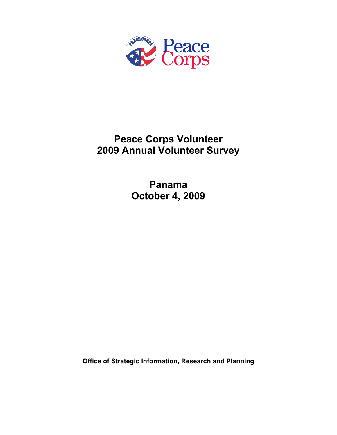

# **Peace Corps Volunteer 2009 Annual Volunteer Survey**

**Panama October 4, 2009** 

**Office of Strategic Information, Research and Planning**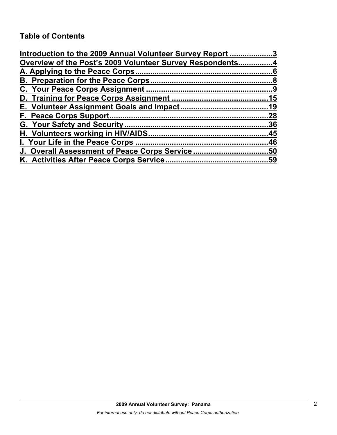# **Table of Contents**

| Introduction to the 2009 Annual Volunteer Survey Report 3 |    |
|-----------------------------------------------------------|----|
| Overview of the Post's 2009 Volunteer Survey Respondents4 |    |
|                                                           |    |
|                                                           |    |
|                                                           |    |
|                                                           |    |
|                                                           |    |
|                                                           | 28 |
|                                                           |    |
|                                                           |    |
|                                                           |    |
|                                                           |    |
|                                                           |    |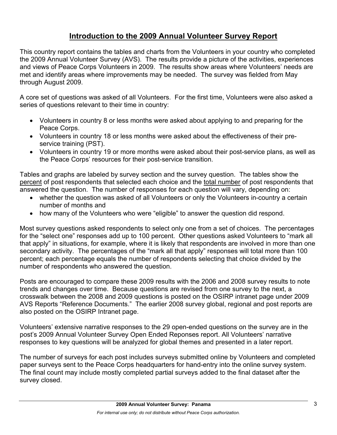# **Introduction to the 2009 Annual Volunteer Survey Report**

This country report contains the tables and charts from the Volunteers in your country who completed the 2009 Annual Volunteer Survey (AVS). The results provide a picture of the activities, experiences and views of Peace Corps Volunteers in 2009. The results show areas where Volunteers' needs are met and identify areas where improvements may be needed. The survey was fielded from May through August 2009.

A core set of questions was asked of all Volunteers. For the first time, Volunteers were also asked a series of questions relevant to their time in country:

- Volunteers in country 8 or less months were asked about applying to and preparing for the Peace Corps.
- Volunteers in country 18 or less months were asked about the effectiveness of their preservice training (PST).
- Volunteers in country 19 or more months were asked about their post-service plans, as well as the Peace Corps' resources for their post-service transition.

Tables and graphs are labeled by survey section and the survey question. The tables show the percent of post respondents that selected each choice and the total number of post respondents that answered the question. The number of responses for each question will vary, depending on:

- whether the question was asked of all Volunteers or only the Volunteers in-country a certain number of months and
- how many of the Volunteers who were "eligible" to answer the question did respond.

Most survey questions asked respondents to select only one from a set of choices. The percentages for the "select one" responses add up to 100 percent. Other questions asked Volunteers to "mark all that apply" in situations, for example, where it is likely that respondents are involved in more than one secondary activity. The percentages of the "mark all that apply" responses will total more than 100 percent; each percentage equals the number of respondents selecting that choice divided by the number of respondents who answered the question.

Posts are encouraged to compare these 2009 results with the 2006 and 2008 survey results to note trends and changes over time. Because questions are revised from one survey to the next, a crosswalk between the 2008 and 2009 questions is posted on the OSIRP intranet page under 2009 AVS Reports "Reference Documents." The earlier 2008 survey global, regional and post reports are also posted on the OSIRP Intranet page.

Volunteers' extensive narrative responses to the 29 open-ended questions on the survey are in the post's 2009 Annual Volunteer Survey Open Ended Reponses report. All Volunteers' narrative responses to key questions will be analyzed for global themes and presented in a later report.

The number of surveys for each post includes surveys submitted online by Volunteers and completed paper surveys sent to the Peace Corps headquarters for hand-entry into the online survey system. The final count may include mostly completed partial surveys added to the final dataset after the survey closed.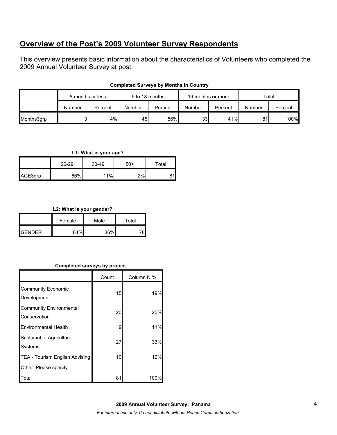# **Overview of the Post's 2009 Volunteer Survey Respondents**

This overview presents basic information about the characteristics of Volunteers who completed the 2009 Annual Volunteer Survey at post.

|            | 8 months or less |         | 9 to 18 months |         | 19 months or more |         | Total  |         |
|------------|------------------|---------|----------------|---------|-------------------|---------|--------|---------|
|            | Number           | Percent | Number         | Percent | Number            | Percent | Number | Percent |
| Months3grp |                  | 4%      | 45             | 56%     | 33 <sup>1</sup>   | 41%     | 81     | 100%    |

### **Completed Surveys by Months in Country**

# **L1: What is your age?**

|         | 20-29 | 30-49 | $50+$ | Total |  |
|---------|-------|-------|-------|-------|--|
| AGE3grp | 86%   | 11%   | 2%    |       |  |

# **L2: What is your gender?**

|                 | Female | Male | Total |  |
|-----------------|--------|------|-------|--|
| <b>I</b> GENDER | 64%    | 36%  |       |  |

# **Completed surveys by project.**

|                                                | Count | Column N % |
|------------------------------------------------|-------|------------|
| <b>Community Economic</b><br>Development       | 15    | 19%        |
| <b>Community Environmental</b><br>Conservation | 20    | 25%        |
| <b>Environmental Health</b>                    | 9     | 11%        |
| Sustainable Agricultural<br><b>Systems</b>     | 27    | 33%        |
| TEA - Tourism English Advising                 | 10    | 12%        |
| Other. Please specify                          |       |            |
| Гоtal                                          | 81    | 100°       |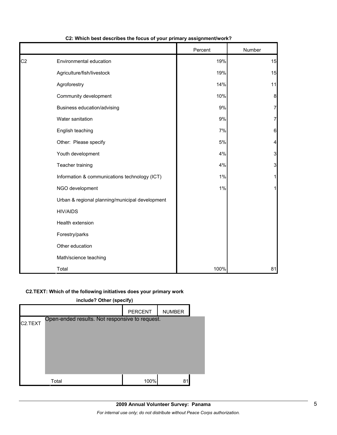|                |                                                 | Percent | Number         |
|----------------|-------------------------------------------------|---------|----------------|
| C <sub>2</sub> | Environmental education                         | 19%     | 15             |
|                | Agriculture/fish/livestock                      | 19%     | 15             |
|                | Agroforestry                                    | 14%     | 11             |
|                | Community development                           | 10%     | 8              |
|                | Business education/advising                     | 9%      | 7              |
|                | Water sanitation                                | 9%      | $\overline{7}$ |
|                | English teaching                                | 7%      | 6              |
|                | Other: Please specify                           | 5%      | 4              |
|                | Youth development                               | 4%      | 3              |
|                | Teacher training                                | 4%      | $\mathbf{3}$   |
|                | Information & communications technology (ICT)   | 1%      | 1              |
|                | NGO development                                 | 1%      | 1              |
|                | Urban & regional planning/municipal development |         |                |
|                | <b>HIV/AIDS</b>                                 |         |                |
|                | Health extension                                |         |                |
|                | Forestry/parks                                  |         |                |
|                | Other education                                 |         |                |
|                | Math/science teaching                           |         |                |
|                | Total                                           | 100%    | 81             |

# **C2: Which best describes the focus of your primary assignment/work?**

#### **C2.TEXT: Which of the following initiatives does your primary work**

| include? Other (specify) |                                                |                |               |  |
|--------------------------|------------------------------------------------|----------------|---------------|--|
|                          |                                                | <b>PERCENT</b> | <b>NUMBER</b> |  |
| C <sub>2</sub> .TEXT     | Open-ended results. Not responsive to request. |                |               |  |
|                          | Total                                          | 100%           | 81            |  |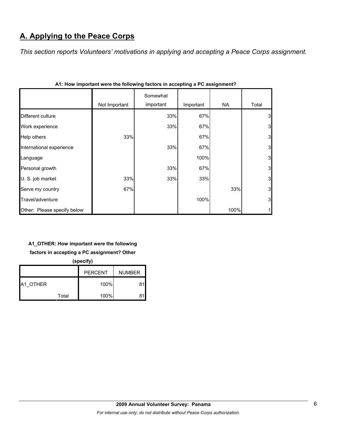# **A. Applying to the Peace Corps**

*This section reports Volunteers' motivations in applying and accepting a Peace Corps assignment.* 

|                             |               | Somewhat  |           |      |       |
|-----------------------------|---------------|-----------|-----------|------|-------|
|                             | Not Important | important | Important | NA   | Total |
| Different culture           |               | 33%       | 67%       |      | 3     |
| Work experience             |               | 33%       | 67%       |      | 3     |
| Help others                 | 33%           |           | 67%       |      | 3     |
| International experience    |               | 33%       | 67%       |      | 3     |
| Language                    |               |           | 100%      |      | 3     |
| Personal growth             |               | 33%       | 67%       |      | 3     |
| U. S. job market            | 33%           | 33%       | 33%       |      | 3     |
| Serve my country            | 67%           |           |           | 33%  | 3     |
| Travel/adventure            |               |           | 100%      |      | 3     |
| Other: Please specify below |               |           |           | 100% | 1     |

|  |  | A1: How important were the following factors in accepting a PC assignment? |  |  |  |
|--|--|----------------------------------------------------------------------------|--|--|--|

# **A1\_OTHER: How important were the following**

# **factors in accepting a PC assignment? Other**

**(specify)**

|          |       | <b>PERCENT</b> | <b>NUMBER</b> |
|----------|-------|----------------|---------------|
| A1 OTHER |       | 100%           |               |
|          | Total | 100%           |               |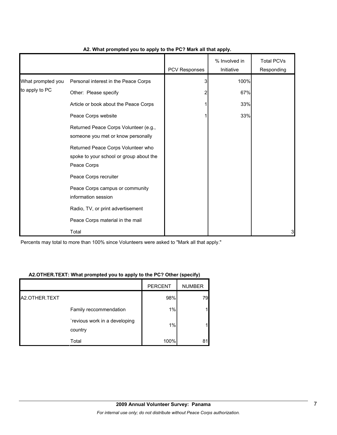|                   |                                                                                              | PCV Responses | % Involved in<br>Initiative | <b>Total PCVs</b><br>Responding |
|-------------------|----------------------------------------------------------------------------------------------|---------------|-----------------------------|---------------------------------|
| What prompted you | Personal interest in the Peace Corps                                                         | 3             | 100%                        |                                 |
| to apply to PC    | Other: Please specify                                                                        | 2             | 67%                         |                                 |
|                   | Article or book about the Peace Corps                                                        |               | 33%                         |                                 |
|                   | Peace Corps website                                                                          |               | 33%                         |                                 |
|                   | Returned Peace Corps Volunteer (e.g.,<br>someone you met or know personally                  |               |                             |                                 |
|                   | Returned Peace Corps Volunteer who<br>spoke to your school or group about the<br>Peace Corps |               |                             |                                 |
|                   | Peace Corps recruiter                                                                        |               |                             |                                 |
|                   | Peace Corps campus or community<br>information session                                       |               |                             |                                 |
|                   | Radio, TV, or print advertisement                                                            |               |                             |                                 |
|                   | Peace Corps material in the mail                                                             |               |                             |                                 |
|                   | Total                                                                                        |               |                             | 3                               |

### **A2. What prompted you to apply to the PC? Mark all that apply.**

Percents may total to more than 100% since Volunteers were asked to "Mark all that apply."

#### **A2.OTHER.TEXT: What prompted you to apply to the PC? Other (specify)**

|               |                                          | <b>PERCENT</b> | <b>NUMBER</b> |
|---------------|------------------------------------------|----------------|---------------|
| A2.OTHER.TEXT |                                          | 98%            | 79            |
|               | Family reccommendation                   | 1%             | 1             |
|               | `revious work in a developing<br>country | 1%             | 1             |
|               | Total                                    | 100%           | 81            |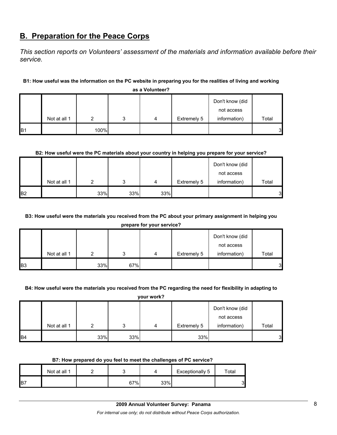# **B. Preparation for the Peace Corps**

*This section reports on Volunteers' assessment of the materials and information available before their service.* 

# **B1: How useful was the information on the PC website in preparing you for the realities of living and working**

|                |              |      |  |   |             | Don't know (did<br>not access |       |  |  |  |
|----------------|--------------|------|--|---|-------------|-------------------------------|-------|--|--|--|
|                | Not at all 1 |      |  | 4 | Extremely 5 | information)                  | Total |  |  |  |
| B <sub>1</sub> |              | 100% |  |   |             |                               | 3     |  |  |  |

**as a Volunteer?**

# **B2: How useful were the PC materials about your country in helping you prepare for your service?**

|                |              |     |     |     |             | Don't know (did |       |
|----------------|--------------|-----|-----|-----|-------------|-----------------|-------|
|                |              |     |     |     |             | not access      |       |
|                | Not at all 1 | ◠   | ົ   | 4   | Extremely 5 | information)    | Total |
| B <sub>2</sub> |              | 33% | 33% | 33% |             |                 | 3     |

# **B3: How useful were the materials you received from the PC about your primary assignment in helping you**

**prepare for your service?**

|                |              |     |     |   |             | Don't know (did |                  |
|----------------|--------------|-----|-----|---|-------------|-----------------|------------------|
|                |              |     |     |   |             | not access      |                  |
|                | Not at all 1 |     | ິ   | 4 | Extremely 5 | information)    | Total            |
| B <sub>3</sub> |              | 33% | 67% |   |             |                 | $3 \blacksquare$ |

#### **B4: How useful were the materials you received from the PC regarding the need for flexibility in adapting to**

**your work?**

|           |              |     |     |   |             | Don't know (did |       |
|-----------|--------------|-----|-----|---|-------------|-----------------|-------|
|           |              |     |     |   |             | not access      |       |
|           | Not at all 1 |     | າ   | 4 | Extremely 5 | information)    | Total |
| <b>B4</b> |              | 33% | 33% |   | 33%         |                 | 3     |

#### **B7: How prepared do you feel to meet the challenges of PC service?**

|     | Not at all 1 |     |     | Exceptionally 5 | $\tau$ otal |
|-----|--------------|-----|-----|-----------------|-------------|
| IB7 |              | 67% | 33% |                 | 2<br>J      |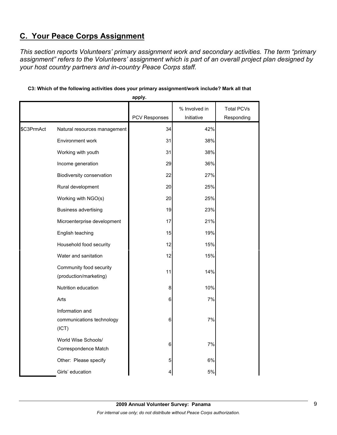# **C. Your Peace Corps Assignment**

*This section reports Volunteers' primary assignment work and secondary activities. The term "primary assignment" refers to the Volunteers' assignment which is part of an overall project plan designed by your host country partners and in-country Peace Corps staff.* 

|            |                                                       | apply.        |               |                   |
|------------|-------------------------------------------------------|---------------|---------------|-------------------|
|            |                                                       |               | % Involved in | <b>Total PCVs</b> |
|            |                                                       | PCV Responses | Initiative    | Responding        |
| \$C3PrmAct | Natural resources management                          | 34            | 42%           |                   |
|            | Environment work                                      | 31            | 38%           |                   |
|            | Working with youth                                    | 31            | 38%           |                   |
|            | Income generation                                     | 29            | 36%           |                   |
|            | Biodiversity conservation                             | 22            | 27%           |                   |
|            | Rural development                                     | 20            | 25%           |                   |
|            | Working with NGO(s)                                   | 20            | 25%           |                   |
|            | <b>Business advertising</b>                           | 19            | 23%           |                   |
|            | Microenterprise development                           | 17            | 21%           |                   |
|            | English teaching                                      | 15            | 19%           |                   |
|            | Household food security                               | 12            | 15%           |                   |
|            | Water and sanitation                                  | 12            | 15%           |                   |
|            | Community food security<br>(production/marketing)     | 11            | 14%           |                   |
|            | Nutrition education                                   | 8             | 10%           |                   |
|            | Arts                                                  | 6             | 7%            |                   |
|            | Information and<br>communications technology<br>(ICT) | 6             | 7%            |                   |
|            | World Wise Schools/<br>Correspondence Match           | 6             | 7%            |                   |
|            | Other: Please specify                                 | 5             | 6%            |                   |
|            | Girls' education                                      | 4             | 5%            |                   |

# **C3: Which of the following activities does your primary assignment/work include? Mark all that**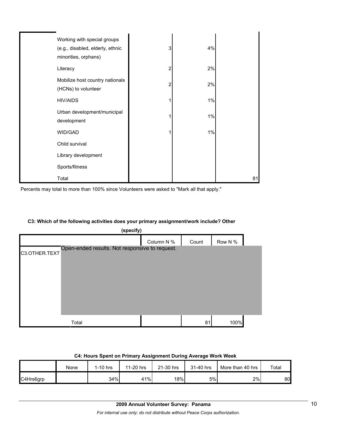| Working with special groups<br>(e.g., disabled, elderly, ethnic<br>minorities, orphans) | 3 | 4%    |    |
|-----------------------------------------------------------------------------------------|---|-------|----|
| Literacy                                                                                | 2 | 2%    |    |
| Mobilize host country nationals<br>(HCNs) to volunteer                                  | 2 | 2%    |    |
| <b>HIV/AIDS</b>                                                                         |   | $1\%$ |    |
| Urban development/municipal<br>development                                              |   | $1\%$ |    |
| WID/GAD                                                                                 |   | $1\%$ |    |
| Child survival                                                                          |   |       |    |
| Library development                                                                     |   |       |    |
| Sports/fitness                                                                          |   |       |    |
| Total                                                                                   |   |       | 81 |

Percents may total to more than 100% since Volunteers were asked to "Mark all that apply."

#### **C3: Which of the following activities does your primary assignment/work include? Other**

| (specify)     |                                                |            |       |         |  |  |  |  |
|---------------|------------------------------------------------|------------|-------|---------|--|--|--|--|
|               |                                                | Column N % | Count | Row N % |  |  |  |  |
| C3.OTHER.TEXT | Open-ended results. Not responsive to request. |            |       |         |  |  |  |  |
|               |                                                |            |       |         |  |  |  |  |
|               |                                                |            |       |         |  |  |  |  |
|               |                                                |            |       |         |  |  |  |  |
|               |                                                |            |       |         |  |  |  |  |
|               |                                                |            |       |         |  |  |  |  |
|               |                                                |            |       |         |  |  |  |  |
|               | Total                                          |            | 81    | 100%    |  |  |  |  |

| <b>U.L. LIQUIS OPENI UN FINIMALY ASSIGNMENT DULING AVELAGE VYUIN VYEEN</b> |      |            |           |           |           |                  |       |  |  |  |
|----------------------------------------------------------------------------|------|------------|-----------|-----------|-----------|------------------|-------|--|--|--|
|                                                                            | None | $1-10$ hrs | 11-20 hrs | 21-30 hrs | 31-40 hrs | More than 40 hrs | Total |  |  |  |
| C4Hrs6grp                                                                  |      | 34%        | 41%       | 18%       | 5%        | 2%               | 80I   |  |  |  |

### **C4: Hours Spent on Primary Assignment During Average Work Week**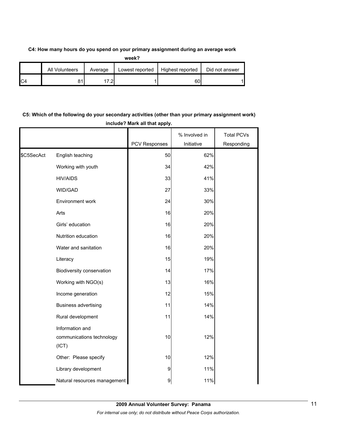#### **C4: How many hours do you spend on your primary assignment during an average work**

|                | All Volunteers | Average | Lowest reported | Highest reported | Did not answer |
|----------------|----------------|---------|-----------------|------------------|----------------|
| C <sub>4</sub> | 04             | ົດ.     |                 | 60               |                |

# **C5: Which of the following do your secondary activities (other than your primary assignment work) include? Mark all that apply.**

|            |                                                       |               | % Involved in | <b>Total PCVs</b> |
|------------|-------------------------------------------------------|---------------|---------------|-------------------|
|            |                                                       | PCV Responses | Initiative    | Responding        |
| \$C5SecAct | English teaching                                      | 50            | 62%           |                   |
|            | Working with youth                                    | 34            | 42%           |                   |
|            | <b>HIV/AIDS</b>                                       | 33            | 41%           |                   |
|            | WID/GAD                                               | 27            | 33%           |                   |
|            | Environment work                                      | 24            | 30%           |                   |
|            | Arts                                                  | 16            | 20%           |                   |
|            | Girls' education                                      | 16            | 20%           |                   |
|            | Nutrition education                                   | 16            | 20%           |                   |
|            | Water and sanitation                                  | 16            | 20%           |                   |
|            | Literacy                                              | 15            | 19%           |                   |
|            | Biodiversity conservation                             | 14            | 17%           |                   |
|            | Working with NGO(s)                                   | 13            | 16%           |                   |
|            | Income generation                                     | 12            | 15%           |                   |
|            | <b>Business advertising</b>                           | 11            | 14%           |                   |
|            | Rural development                                     | 11            | 14%           |                   |
|            | Information and<br>communications technology<br>(ICT) | 10            | 12%           |                   |
|            | Other: Please specify                                 | 10            | 12%           |                   |
|            | Library development                                   | 9             | 11%           |                   |
|            | Natural resources management                          | 9             | 11%           |                   |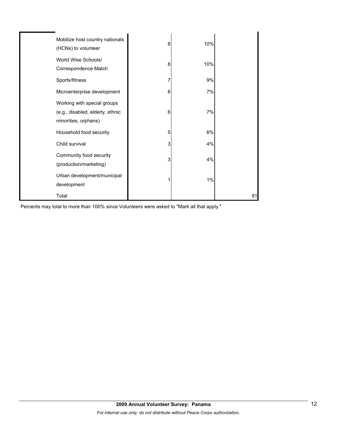| Mobilize host country nationals<br>(HCNs) to volunteer                                  | 8 | 10% |    |
|-----------------------------------------------------------------------------------------|---|-----|----|
| World Wise Schools/<br>Correspondence Match                                             | 8 | 10% |    |
| Sports/fitness                                                                          | 7 | 9%  |    |
| Microenterprise development                                                             | 6 | 7%  |    |
| Working with special groups<br>(e.g., disabled, elderly, ethnic<br>minorities, orphans) | 6 | 7%  |    |
| Household food security                                                                 | 5 | 6%  |    |
| Child survival                                                                          | 3 | 4%  |    |
| Community food security<br>(production/marketing)                                       | 3 | 4%  |    |
| Urban development/municipal<br>development                                              | 1 | 1%  |    |
| Total                                                                                   |   |     | 81 |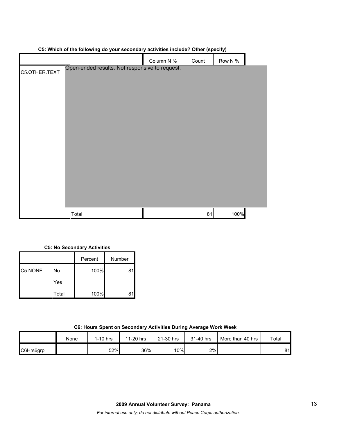|               |                                                | Column N % | Count | Row N % |  |
|---------------|------------------------------------------------|------------|-------|---------|--|
| C5.OTHER.TEXT | Open-ended results. Not responsive to request. |            |       |         |  |
|               | Total                                          |            | 81    | 100%    |  |

# **C5: Which of the following do your secondary activities include? Other (specify)**

#### **C5: No Secondary Activities**

|         |       | Percent | Number |
|---------|-------|---------|--------|
| C5.NONE | No    | 100%    | 81     |
|         | Yes   |         |        |
|         | Total | 100%    |        |

| C6: Hours Spent on Secondary Activities During Average Work Week |  |  |  |  |  |  |
|------------------------------------------------------------------|--|--|--|--|--|--|
|------------------------------------------------------------------|--|--|--|--|--|--|

|           | None | 1-10 hrs | 11-20 hrs | 21-30 hrs | 31-40 hrs | More than 40 hrs | Total |
|-----------|------|----------|-----------|-----------|-----------|------------------|-------|
| C6Hrs6grp |      | 52%      | 36%       | 10%       | 2%        |                  | 81l   |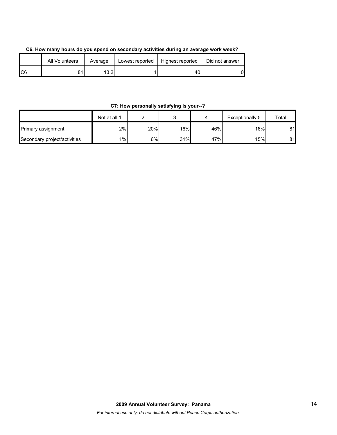| C6. How many hours do you spend on secondary activities during an average work week? |  |
|--------------------------------------------------------------------------------------|--|
|--------------------------------------------------------------------------------------|--|

|     | All Volunteers | Average        | Lowest reported | Highest reported | Did not answer |
|-----|----------------|----------------|-----------------|------------------|----------------|
| IC6 |                | 1 ລົດ I<br>ے.ت |                 | 40 I             | 0              |

# **C7: How personally satisfying is your--?**

|                              | Not at all 1 |     |     |     | Exceptionally 5 | Total |
|------------------------------|--------------|-----|-----|-----|-----------------|-------|
| Primary assignment           | 2%           | 20% | 16% | 46% | 16%।            | 81    |
| Secondary project/activities | $1\%$        | 6%  | 31% | 47% | 15%             | 81    |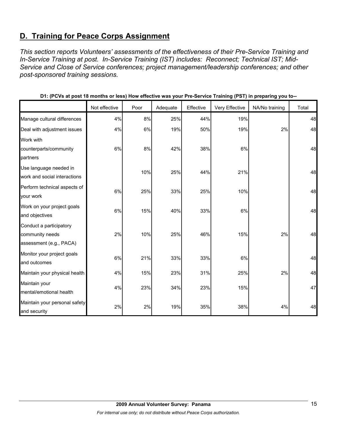# **D. Training for Peace Corps Assignment**

*This section reports Volunteers' assessments of the effectiveness of their Pre-Service Training and In-Service Training at post. In-Service Training (IST) includes: Reconnect; Technical IST; Mid-Service and Close of Service conferences; project management/leadership conferences; and other post-sponsored training sessions.* 

|                                                                       | Not effective | Poor | Adequate | Effective | Very Effective | NA/No training | Total |
|-----------------------------------------------------------------------|---------------|------|----------|-----------|----------------|----------------|-------|
| Manage cultural differences                                           | 4%            | 8%   | 25%      | 44%       | 19%            |                | 48    |
| Deal with adjustment issues                                           | 4%            | 6%   | 19%      | 50%       | 19%            | 2%             | 48    |
| Work with<br>counterparts/community<br>partners                       | 6%            | 8%   | 42%      | 38%       | 6%             |                | 48    |
| Use language needed in<br>work and social interactions                |               | 10%  | 25%      | 44%       | 21%            |                | 48    |
| Perform technical aspects of<br>your work                             | 6%            | 25%  | 33%      | 25%       | 10%            |                | 48    |
| Work on your project goals<br>and objectives                          | 6%            | 15%  | 40%      | 33%       | 6%             |                | 48    |
| Conduct a participatory<br>community needs<br>assessment (e.g., PACA) | 2%            | 10%  | 25%      | 46%       | 15%            | 2%             | 48    |
| Monitor your project goals<br>and outcomes                            | 6%            | 21%  | 33%      | 33%       | 6%             |                | 48    |
| Maintain your physical health                                         | 4%            | 15%  | 23%      | 31%       | 25%            | 2%             | 48    |
| Maintain your<br>mental/emotional health                              | 4%            | 23%  | 34%      | 23%       | 15%            |                | 47    |
| Maintain your personal safety<br>and security                         | 2%            | 2%   | 19%      | 35%       | 38%            | 4%             | 48    |

**D1: (PCVs at post 18 months or less) How effective was your Pre-Service Training (PST) in preparing you to--**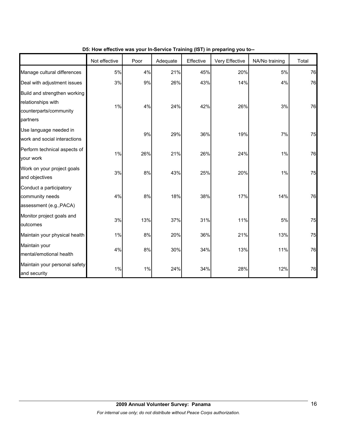|                                                                                          | Not effective | Poor | Adequate | Effective | Very Effective | NA/No training | Total |
|------------------------------------------------------------------------------------------|---------------|------|----------|-----------|----------------|----------------|-------|
| Manage cultural differences                                                              | 5%            | 4%   | 21%      | 45%       | 20%            | 5%             | 76    |
| Deal with adjustment issues                                                              | 3%            | 9%   | 26%      | 43%       | 14%            | 4%             | 76    |
| Build and strengthen working<br>relationships with<br>counterparts/community<br>partners | 1%            | 4%   | 24%      | 42%       | 26%            | 3%             | 76    |
| Use language needed in<br>work and social interactions                                   |               | 9%   | 29%      | 36%       | 19%            | 7%             | 75    |
| Perform technical aspects of<br>your work                                                | 1%            | 26%  | 21%      | 26%       | 24%            | 1%             | 76    |
| Work on your project goals<br>and objectives                                             | 3%            | 8%   | 43%      | 25%       | 20%            | 1%             | 75    |
| Conduct a participatory<br>community needs<br>assessment (e.g., PACA)                    | 4%            | 8%   | 18%      | 38%       | 17%            | 14%            | 76    |
| Monitor project goals and<br>outcomes                                                    | 3%            | 13%  | 37%      | 31%       | 11%            | 5%             | 75    |
| Maintain your physical health                                                            | 1%            | 8%   | 20%      | 36%       | 21%            | 13%            | 75    |
| Maintain your<br>mental/emotional health                                                 | 4%            | 8%   | 30%      | 34%       | 13%            | 11%            | 76    |
| Maintain your personal safety<br>and security                                            | $1\%$         | 1%   | 24%      | 34%       | 28%            | 12%            | 76    |

**D5: How effective was your In-Service Training (IST) in preparing you to--**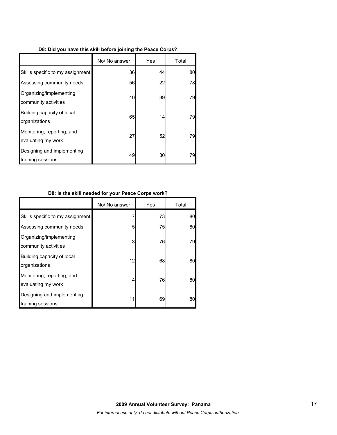|  |  | D8: Did you have this skill before joining the Peace Corps? |  |
|--|--|-------------------------------------------------------------|--|
|  |  |                                                             |  |

|                                                  | No/ No answer | Yes | Total |
|--------------------------------------------------|---------------|-----|-------|
| Skills specific to my assignment                 | 36            | 44  | 80    |
| Assessing community needs                        | 56            | 22  | 78    |
| Organizing/implementing<br>community activities  | 40            | 39  | 79    |
| Building capacity of local<br>organizations      | 65            | 14  | 79    |
| Monitoring, reporting, and<br>evaluating my work | 27            | 52  | 79    |
| Designing and implementing<br>training sessions  | 49            | 30  | 79    |

# **D8: Is the skill needed for your Peace Corps work?**

|                                                  | No/ No answer | Yes | Total |
|--------------------------------------------------|---------------|-----|-------|
| Skills specific to my assignment                 |               | 73  | 80    |
| Assessing community needs                        | 5             | 75  | 80    |
| Organizing/implementing<br>community activities  | 3             | 76  | 79    |
| Building capacity of local<br>organizations      | 12            | 68  | 80    |
| Monitoring, reporting, and<br>evaluating my work | 4             | 76  | 80    |
| Designing and implementing<br>training sessions  | 11            | 69  | 80    |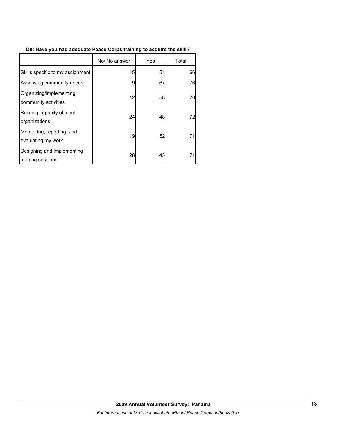# **D8: Have you had adequate Peace Corps training to acquire the skill?**

|                                                  | No/ No answer | Yes | Total |
|--------------------------------------------------|---------------|-----|-------|
| Skills specific to my assignment                 | 15            | 51  | 66    |
| Assessing community needs                        | 9             | 67  | 76    |
| Organizing/implementing<br>community activities  | 12            | 58  | 70    |
| Building capacity of local<br>organizations      | 24            | 48  | 72    |
| Monitoring, reporting, and<br>evaluating my work | 19            | 52  | 71    |
| Designing and implementing<br>training sessions  | 28            | 43  | 71    |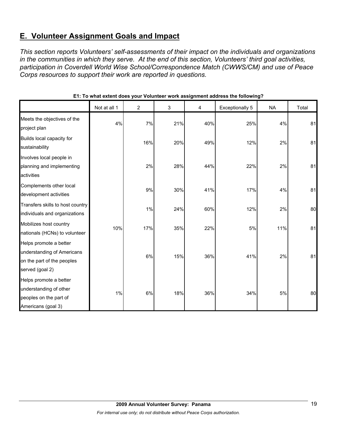# **E. Volunteer Assignment Goals and Impact**

*This section reports Volunteers' self-assessments of their impact on the individuals and organizations in the communities in which they serve. At the end of this section, Volunteers' third goal activities, participation in Coverdell World Wise School/Correspondence Match (CWWS/CM) and use of Peace Corps resources to support their work are reported in questions.* 

|                                                                                                       | Not at all 1 | $\overline{2}$ | 3   | 4   | <b>Exceptionally 5</b> | <b>NA</b> | Total |
|-------------------------------------------------------------------------------------------------------|--------------|----------------|-----|-----|------------------------|-----------|-------|
| Meets the objectives of the<br>project plan                                                           | 4%           | 7%             | 21% | 40% | 25%                    | 4%        | 81    |
| Builds local capacity for<br>sustainability                                                           |              | 16%            | 20% | 49% | 12%                    | 2%        | 81    |
| Involves local people in<br>planning and implementing<br>activities                                   |              | 2%             | 28% | 44% | 22%                    | 2%        | 81    |
| Complements other local<br>development activities                                                     |              | 9%             | 30% | 41% | 17%                    | 4%        | 81    |
| Transfers skills to host country<br>individuals and organizations                                     |              | $1\%$          | 24% | 60% | 12%                    | 2%        | 80    |
| Mobilizes host country<br>nationals (HCNs) to volunteer                                               | 10%          | 17%            | 35% | 22% | 5%                     | 11%       | 81    |
| Helps promote a better<br>understanding of Americans<br>on the part of the peoples<br>served (goal 2) |              | 6%             | 15% | 36% | 41%                    | 2%        | 81    |
| Helps promote a better<br>understanding of other<br>peoples on the part of<br>Americans (goal 3)      | 1%           | 6%             | 18% | 36% | 34%                    | 5%        | 80    |

# **E1: To what extent does your Volunteer work assignment address the following?**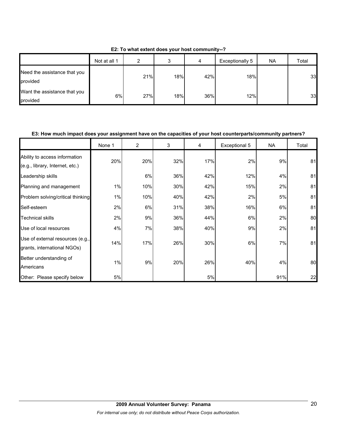|                                          | Not at all 1 | ົ   | ◠<br>c | 4   | Exceptionally 5 | <b>NA</b> | Total |
|------------------------------------------|--------------|-----|--------|-----|-----------------|-----------|-------|
| Need the assistance that you<br>provided |              | 21% | 18%    | 42% | 18%             |           | 33    |
| Want the assistance that you<br>provided | 6%           | 27% | 18%    | 36% | 12%             |           | 33    |

**E2: To what extent does your host community--?**

### **E3: How much impact does your assignment have on the capacities of your host counterparts/community partners?**

|                                                                  | None 1 | $\overline{2}$ | 3   | 4   | Exceptional 5 | <b>NA</b> | Total |
|------------------------------------------------------------------|--------|----------------|-----|-----|---------------|-----------|-------|
| Ability to access information<br>(e.g., library, Internet, etc.) | 20%    | 20%            | 32% | 17% | 2%            | 9%        | 81    |
| Leadership skills                                                |        | 6%             | 36% | 42% | 12%           | 4%        | 81    |
| Planning and management                                          | 1%     | 10%            | 30% | 42% | 15%           | 2%        | 81    |
| Problem solving/critical thinking                                | 1%     | 10%            | 40% | 42% | 2%            | 5%        | 81    |
| Self-esteem                                                      | 2%     | 6%             | 31% | 38% | 16%           | 6%        | 81    |
| <b>Technical skills</b>                                          | 2%     | 9%             | 36% | 44% | 6%            | 2%        | 80    |
| Use of local resources                                           | 4%     | 7%             | 38% | 40% | 9%            | 2%        | 81    |
| Use of external resources (e.g.,<br>grants, international NGOs)  | 14%    | 17%            | 26% | 30% | 6%            | 7%        | 81    |
| Better understanding of<br>Americans                             | 1%     | 9%             | 20% | 26% | 40%           | 4%        | 80    |
| Other: Please specify below                                      | 5%     |                |     | 5%  |               | 91%       | 22    |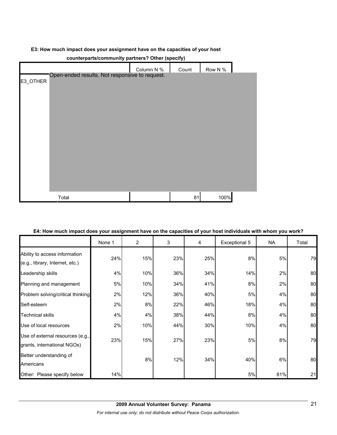### **E3: How much impact does your assignment have on the capacities of your host**

| counterparts/community partners? Other (specify) |                                                |            |       |         |  |  |  |
|--------------------------------------------------|------------------------------------------------|------------|-------|---------|--|--|--|
|                                                  |                                                | Column N % | Count | Row N % |  |  |  |
| E3_OTHER                                         | Open-ended results. Not responsive to request. |            |       |         |  |  |  |
|                                                  |                                                |            |       |         |  |  |  |
|                                                  |                                                |            |       |         |  |  |  |
|                                                  |                                                |            |       |         |  |  |  |
|                                                  | Total                                          |            | 81    | 100%    |  |  |  |

#### **E4: How much impact does your assignment have on the capacities of your host individuals with whom you work?**

|                                                                  | None 1 | $\overline{2}$ | 3   | 4   | Exceptional 5 | NA  | Total |
|------------------------------------------------------------------|--------|----------------|-----|-----|---------------|-----|-------|
| Ability to access information<br>(e.g., library, Internet, etc.) | 24%    | 15%            | 23% | 25% | 8%            | 5%  | 79    |
| Leadership skills                                                | 4%     | 10%            | 36% | 34% | 14%           | 2%  | 80    |
| Planning and management                                          | 5%     | 10%            | 34% | 41% | 8%            | 2%  | 80    |
| Problem solving/critical thinking                                | 2%     | 12%            | 36% | 40% | 5%            | 4%  | 80    |
| Self-esteem                                                      | 2%     | 8%             | 22% | 46% | 18%           | 4%  | 80    |
| <b>Technical skills</b>                                          | 4%     | 4%             | 38% | 44% | 8%            | 4%  | 80    |
| Use of local resources                                           | 2%     | 10%            | 44% | 30% | 10%           | 4%  | 80    |
| Use of external resources (e.g.,<br>grants, international NGOs)  | 23%    | 15%            | 27% | 23% | 5%            | 8%  | 79    |
| Better understanding of<br>Americans                             |        | 8%             | 12% | 34% | 40%           | 6%  | 80    |
| Other: Please specify below                                      | 14%    |                |     |     | 5%            | 81% | 21    |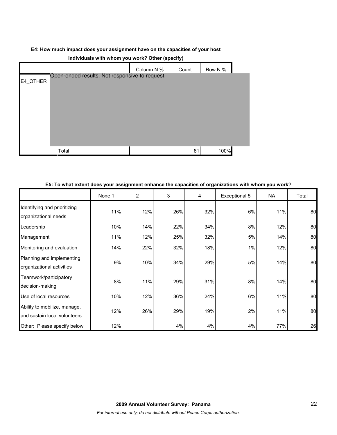#### **E4: How much impact does your assignment have on the capacities of your host**

| <b>INDIVIDUALS WILLI WILDIT YOU WOLK: OLIFFI (SPECITY)</b> |                                                |            |       |         |  |  |  |  |
|------------------------------------------------------------|------------------------------------------------|------------|-------|---------|--|--|--|--|
|                                                            |                                                | Column N % | Count | Row N % |  |  |  |  |
| E4_OTHER                                                   | Open-ended results. Not responsive to request. |            |       |         |  |  |  |  |
|                                                            |                                                |            |       |         |  |  |  |  |
|                                                            |                                                |            |       |         |  |  |  |  |
|                                                            |                                                |            |       |         |  |  |  |  |
|                                                            |                                                |            |       |         |  |  |  |  |
|                                                            |                                                |            |       |         |  |  |  |  |
|                                                            |                                                |            |       |         |  |  |  |  |
|                                                            | Total                                          |            | 81    | 100%    |  |  |  |  |

# **individuals with whom you work? Other (specify)**

# **E5: To what extent does your assignment enhance the capacities of organizations with whom you work?**

|                                                              | None 1 | $\overline{2}$ | 3   | 4   | Exceptional 5 | NA  | Total |
|--------------------------------------------------------------|--------|----------------|-----|-----|---------------|-----|-------|
| Identifying and prioritizing<br>organizational needs         | 11%    | 12%            | 26% | 32% | 6%            | 11% | 80    |
| Leadership                                                   | 10%    | 14%            | 22% | 34% | 8%            | 12% | 80    |
| Management                                                   | 11%    | 12%            | 25% | 32% | 5%            | 14% | 80    |
| Monitoring and evaluation                                    | 14%    | 22%            | 32% | 18% | 1%            | 12% | 80    |
| Planning and implementing<br>organizational activities       | 9%     | 10%            | 34% | 29% | 5%            | 14% | 80    |
| Teamwork/participatory<br>decision-making                    | 8%     | 11%            | 29% | 31% | 8%            | 14% | 80    |
| Use of local resources                                       | 10%    | 12%            | 36% | 24% | 6%            | 11% | 80    |
| Ability to mobilize, manage,<br>and sustain local volunteers | 12%    | 26%            | 29% | 19% | 2%            | 11% | 80    |
| Other: Please specify below                                  | 12%    |                | 4%  | 4%  | 4%            | 77% | 26    |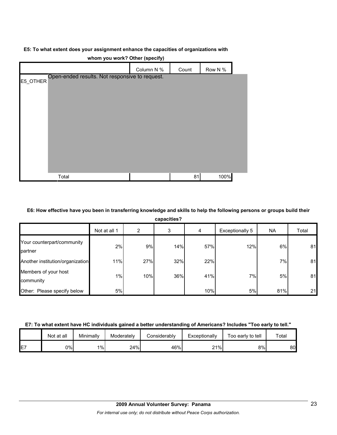#### **E5: To what extent does your assignment enhance the capacities of organizations with**

|                                                            | Column N % | Count | Row N % |  |
|------------------------------------------------------------|------------|-------|---------|--|
| Open-ended results. Not responsive to request.<br>E5_OTHER |            |       |         |  |
|                                                            |            |       |         |  |
|                                                            |            |       |         |  |
|                                                            |            |       |         |  |
|                                                            |            |       |         |  |
|                                                            |            |       |         |  |
|                                                            |            |       |         |  |
|                                                            |            |       |         |  |
| Total                                                      |            | 81    | 100%    |  |

**whom you work? Other (specify)**

#### **E6: How effective have you been in transferring knowledge and skills to help the following persons or groups build their**

| capacities?                           |              |     |     |     |                 |           |       |  |
|---------------------------------------|--------------|-----|-----|-----|-----------------|-----------|-------|--|
|                                       | Not at all 1 | 2   | 3   | 4   | Exceptionally 5 | <b>NA</b> | Total |  |
| Your counterpart/community<br>partner | 2%           | 9%  | 14% | 57% | 12%             | 6%        | 81    |  |
| Another institution/organization      | 11%          | 27% | 32% | 22% |                 | 7%        | 81    |  |
| Members of your host<br>community     | 1%           | 10% | 36% | 41% | 7%              | 5%        | 81    |  |
| Other: Please specify below           | 5%           |     |     | 10% | 5%              | 81%       | 21    |  |

#### **E7: To what extent have HC individuals gained a better understanding of Americans? Includes "Too early to tell."**

|    | Not at all | Minimally | Moderately | Considerablv | Exceptionally | Too early to tell | $\tau$ otal |
|----|------------|-----------|------------|--------------|---------------|-------------------|-------------|
| E7 | 0%l        | $1\%$     | 24%        | 46%          | 21%<br>∼      | 8%                | 80          |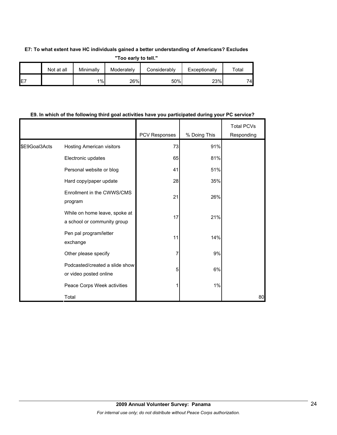### **E7: To what extent have HC individuals gained a better understanding of Americans? Excludes**

**"Too early to tell."**

|     | Not at all | Minimally | Moderately | Considerably | Exceptionally | ™otal |
|-----|------------|-----------|------------|--------------|---------------|-------|
| IE7 |            | 1%        | 26%        | 50%          | 23%           | 74    |

# **E9. In which of the following third goal activities have you participated during your PC service?**

|               |                                                              | PCV Responses | % Doing This | <b>Total PCVs</b><br>Responding |
|---------------|--------------------------------------------------------------|---------------|--------------|---------------------------------|
| \$E9Goal3Acts | Hosting American visitors                                    | 73            | 91%          |                                 |
|               | Electronic updates                                           | 65            | 81%          |                                 |
|               | Personal website or blog                                     | 41            | 51%          |                                 |
|               | Hard copy/paper update                                       | 28            | 35%          |                                 |
|               | Enrollment in the CWWS/CMS<br>program                        | 21            | 26%          |                                 |
|               | While on home leave, spoke at<br>a school or community group | 17            | 21%          |                                 |
|               | Pen pal program/letter<br>exchange                           | 11            | 14%          |                                 |
|               | Other please specify                                         |               | 9%           |                                 |
|               | Podcasted/created a slide show<br>or video posted online     | 5             | 6%           |                                 |
|               | Peace Corps Week activities                                  |               | 1%           |                                 |
|               | Total                                                        |               |              | 80                              |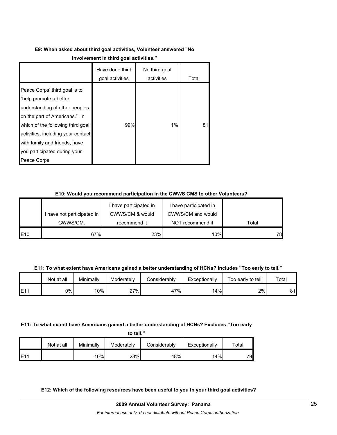# **E9: When asked about third goal activities, Volunteer answered "No**

|                                                                                                                                                                                                                                                                                       | Have done third<br>goal activities | No third goal<br>activities | Total |
|---------------------------------------------------------------------------------------------------------------------------------------------------------------------------------------------------------------------------------------------------------------------------------------|------------------------------------|-----------------------------|-------|
| Peace Corps' third goal is to<br>"help promote a better<br>understanding of other peoples<br>on the part of Americans." In<br>which of the following third goal<br>activities, including your contact<br>with family and friends, have<br>you participated during your<br>Peace Corps | 99%                                | 1%                          | 81    |

# **E10: Would you recommend participation in the CWWS CMS to other Volunteers?**

|     |                            | I have participated in | I have participated in |       |
|-----|----------------------------|------------------------|------------------------|-------|
|     | I have not participated in | CWWS/CM & would        | CWWS/CM and would      |       |
|     | CWWS/CM.                   | recommend it           | NOT recommend it       | Total |
| E10 | 67%                        | 23%                    | 10%                    | 78    |

**E11: To what extent have Americans gained a better understanding of HCNs? Includes "Too early to tell."**

|      | Not at all | Minimally | Moderately | Considerably | Exceptionally | Too early to tell | Total |
|------|------------|-----------|------------|--------------|---------------|-------------------|-------|
| IE11 | <b>D%l</b> | 10%       | 27%        | 47%          | 14%           | 2%                | ດ⊿    |

# **E11: To what extent have Americans gained a better understanding of HCNs? Excludes "Too early**

|      | Not at all | Minimallv | Moderately | Considerably | Exceptionally | $\tau$ otal |
|------|------------|-----------|------------|--------------|---------------|-------------|
| IE11 |            | 10%       | 28%        | 48%          | 14%           | 79.         |

**E12: Which of the following resources have been useful to you in your third goal activities?**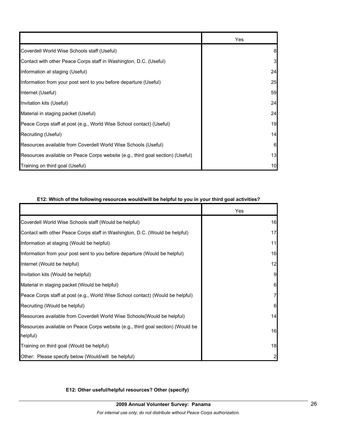|                                                                                | Yes |
|--------------------------------------------------------------------------------|-----|
| Coverdell World Wise Schools staff (Useful)                                    | 8   |
| Contact with other Peace Corps staff in Washington, D.C. (Useful)              | 3   |
| Information at staging (Useful)                                                | 24  |
| Information from your post sent to you before departure (Useful)               | 25  |
| Internet (Useful)                                                              | 59  |
| Invitation kits (Useful)                                                       | 24  |
| Material in staging packet (Useful)                                            | 24  |
| Peace Corps staff at post (e.g., World Wise School contact) (Useful)           | 19  |
| Recruiting (Useful)                                                            | 14  |
| Resources available from Coverdell World Wise Schools (Useful)                 | 6   |
| Resources available on Peace Corps website (e.g., third goal section) (Useful) | 13  |
| Training on third goal (Useful)                                                | 10  |

### **E12: Which of the following resources would/will be helpful to you in your third goal activities?**

|                                                                                             | Yes          |
|---------------------------------------------------------------------------------------------|--------------|
| Coverdell World Wise Schools staff (Would be helpful)                                       | 16           |
| Contact with other Peace Corps staff in Washington, D.C. (Would be helpful)                 | 17           |
| Information at staging (Would be helpful)                                                   | 11           |
| Information from your post sent to you before departure (Would be helpful)                  | 16           |
| Internet (Would be helpful)                                                                 | 12           |
| Invitation kits (Would be helpful)                                                          | 9            |
| Material in staging packet (Would be helpful)                                               | 6            |
| Peace Corps staff at post (e.g., World Wise School contact) (Would be helpful)              | 7            |
| Recruiting (Would be helpful)                                                               | 6            |
| Resources available from Coverdell World Wise Schools (Would be helpful)                    | 14           |
| Resources available on Peace Corps website (e.g., third goal section) (Would be<br>helpful) | 16           |
| Training on third goal (Would be helpful)                                                   | 18           |
| Other: Please specify below (Would/will be helpful)                                         | $\mathsf{2}$ |

**E12: Other useful/helpful resources? Other (specify)**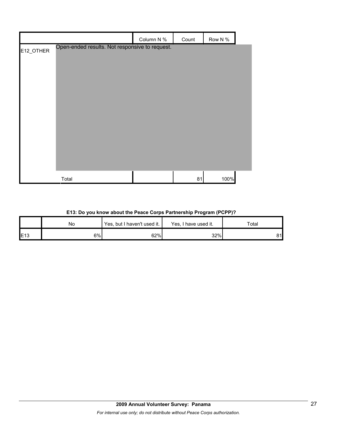|           |                                                | Column N % | Count | Row N % |  |
|-----------|------------------------------------------------|------------|-------|---------|--|
| E12_OTHER | Open-ended results. Not responsive to request. |            |       |         |  |
|           |                                                |            |       |         |  |
|           |                                                |            |       |         |  |
|           |                                                |            |       |         |  |
|           |                                                |            |       |         |  |
|           |                                                |            |       |         |  |
|           |                                                |            |       |         |  |
|           |                                                |            |       |         |  |
|           |                                                |            |       |         |  |
|           |                                                |            |       |         |  |
|           |                                                |            |       |         |  |
|           | Total                                          |            | 81    | 100%    |  |

# **E13: Do you know about the Peace Corps Partnership Program (PCPP)?**

|              | No | Yes, but I haven't used it. | Yes, I have used it. | Total |
|--------------|----|-----------------------------|----------------------|-------|
| <b>IE</b> 13 | 6% | 62%                         | 32%                  | 81    |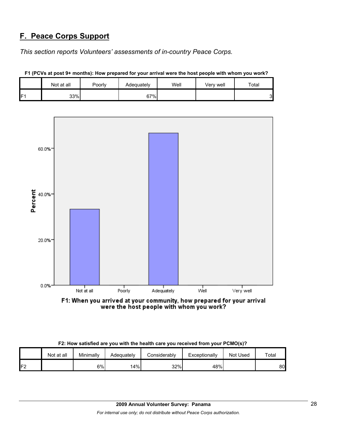# **F. Peace Corps Support**

*This section reports Volunteers' assessments of in-country Peace Corps.* 

|   | Not at all | Poorly | Adequately | Well | Verv well | $\tau$ otal |
|---|------------|--------|------------|------|-----------|-------------|
| E | 33%        |        | 67%        |      |           | ◠           |



**F1 (PCVs at post 9+ months): How prepared for your arrival were the host people with whom you work?**

| F2: How satisfied are you with the health care you received from your PCMO(s)? |  |  |
|--------------------------------------------------------------------------------|--|--|
|                                                                                |  |  |

|                | Not at all | Minimally | Adeɑuatelv | Considerably | Exceptionally | Not Used | Total |
|----------------|------------|-----------|------------|--------------|---------------|----------|-------|
| ロク<br><u>.</u> |            | 6%l       | 14%        | 32%          | 48%           |          | 80    |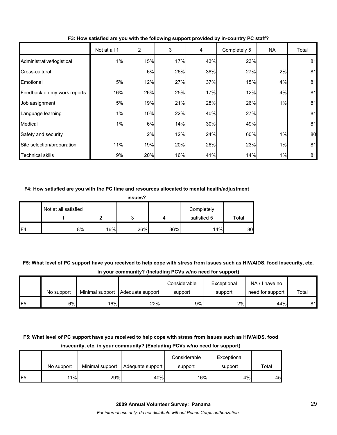|                             | Not at all 1 | $\overline{2}$ | 3   | 4   | Completely 5 | NA | Total |
|-----------------------------|--------------|----------------|-----|-----|--------------|----|-------|
| Administrative/logistical   | 1%           | 15%            | 17% | 43% | 23%          |    | 81    |
| Cross-cultural              |              | 6%             | 26% | 38% | 27%          | 2% | 81    |
| Emotional                   | 5%           | 12%            | 27% | 37% | 15%          | 4% | 81    |
| Feedback on my work reports | 16%          | 26%            | 25% | 17% | 12%          | 4% | 81    |
| Job assignment              | 5%           | 19%            | 21% | 28% | 26%          | 1% | 81    |
| Language learning           | 1%           | 10%            | 22% | 40% | 27%          |    | 81    |
| Medical                     | 1%           | 6%             | 14% | 30% | 49%          |    | 81    |
| Safety and security         |              | 2%             | 12% | 24% | 60%          | 1% | 80    |
| Site selection/preparation  | 11%          | 19%            | 20% | 26% | 23%          | 1% | 81    |
| <b>Technical skills</b>     | 9%           | 20%            | 16% | 41% | 14%          | 1% | 81    |

**F3: How satisfied are you with the following support provided by in-country PC staff?**

#### **F4: How satisfied are you with the PC time and resources allocated to mental health/adjustment**

|                | issues?              |     |     |     |                           |       |  |  |  |  |
|----------------|----------------------|-----|-----|-----|---------------------------|-------|--|--|--|--|
|                | Not at all satisfied | ◠   | 3   | 4   | Completely<br>satisfied 5 | Total |  |  |  |  |
| F <sub>4</sub> | 8%                   | 16% | 26% | 36% | 14%                       | 80    |  |  |  |  |

**F5: What level of PC support have you received to help cope with stress from issues such as HIV/AIDS, food insecurity, etc. in your community? (Including PCVs w/no need for support)**

|                 |            |     |                                    | Considerable | Exceptional | NA/I have no     |       |
|-----------------|------------|-----|------------------------------------|--------------|-------------|------------------|-------|
|                 | No support |     | Minimal support   Adequate support | support      | support     | need for support | Total |
| IF <sub>5</sub> | 6%         | 16% | 22%                                | 9%           | 2%          | 44%              | 81    |

# **F5: What level of PC support have you received to help cope with stress from issues such as HIV/AIDS, food insecurity, etc. in your community? (Excluding PCVs w/no need for support)**

|     |            |                 |                  | Considerable | Exceptional |       |
|-----|------------|-----------------|------------------|--------------|-------------|-------|
|     | No support | Minimal support | Adequate support | support      | support     | Total |
| IF5 | 11%        | 29%             | 40%              | 16%          | 4%          | 45    |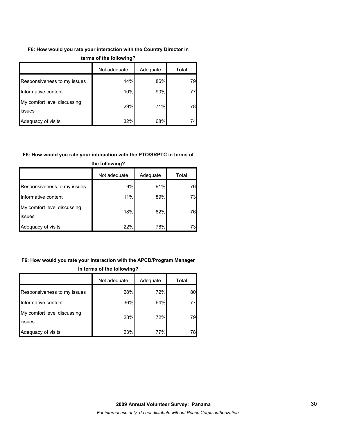# **F6: How would you rate your interaction with the Country Director in**

|                                              | Not adequate | Adequate | Total |  |  |
|----------------------------------------------|--------------|----------|-------|--|--|
| Responsiveness to my issues                  | 14%          | 86%      | 79    |  |  |
| Informative content                          | 10%          | 90%      | 77    |  |  |
| My comfort level discussing<br><b>issues</b> | 29%          | 71%      | 78    |  |  |
| Adequacy of visits                           | 32%          | 68%      | 74    |  |  |

#### **terms of the following?**

#### **F6: How would you rate your interaction with the PTO/SRPTC in terms of**

|                                              | Not adequate | Adequate | Total |
|----------------------------------------------|--------------|----------|-------|
| Responsiveness to my issues                  | 9%           | 91%      | 76    |
| Informative content                          | 11%          | 89%      | 73    |
| My comfort level discussing<br><b>issues</b> | 18%          | 82%      | 76    |
| Adequacy of visits                           | 22%          | 78%      | 731   |

# **the following?**

# **F6: How would you rate your interaction with the APCD/Program Manager in terms of the following?**

|                                       | Not adequate | Adequate | Total |
|---------------------------------------|--------------|----------|-------|
| Responsiveness to my issues           | 28%          | 72%      | 80    |
| Informative content                   | 36%          | 64%      | 77    |
| My comfort level discussing<br>issues | 28%          | 72%      | 79    |
| Adequacy of visits                    | 23%          | 77%      | 78    |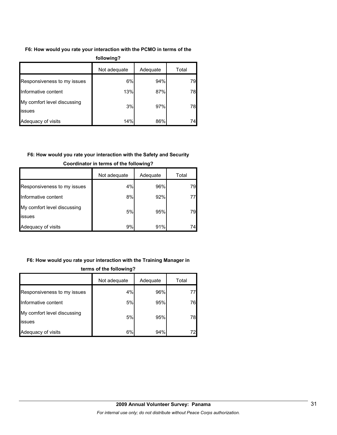# **F6: How would you rate your interaction with the PCMO in terms of the**

| following?                            |              |          |       |  |  |  |  |
|---------------------------------------|--------------|----------|-------|--|--|--|--|
|                                       | Not adequate | Adequate | Total |  |  |  |  |
| Responsiveness to my issues           | 6%           | 94%      | 79    |  |  |  |  |
| Informative content                   | 13%          | 87%      | 78    |  |  |  |  |
| My comfort level discussing<br>issues | 3%           | 97%      | 78    |  |  |  |  |
| Adequacy of visits                    | 14%          | 86%      | 74    |  |  |  |  |

# **F6: How would you rate your interaction with the Safety and Security**

|                                               | Not adequate | Adequate | Total |
|-----------------------------------------------|--------------|----------|-------|
| Responsiveness to my issues                   | 4%           | 96%      | 79    |
| Informative content                           | 8%           | 92%      |       |
| My comfort level discussing<br><b>lissues</b> | 5%           | 95%      | 79    |
| Adequacy of visits                            | 9%           | 91%      | 74    |

# **Coordinator in terms of the following?**

# **F6: How would you rate your interaction with the Training Manager in**

|                                       | Not adequate | Adequate | Total |  |
|---------------------------------------|--------------|----------|-------|--|
| Responsiveness to my issues           | 4%           | 96%      | 77    |  |
| Informative content                   | 5%           | 95%      | 76    |  |
| My comfort level discussing<br>issues | 5%           | 95%      | 78    |  |
| Adequacy of visits                    | 6%           | 94%      | 72    |  |

# **terms of the following?**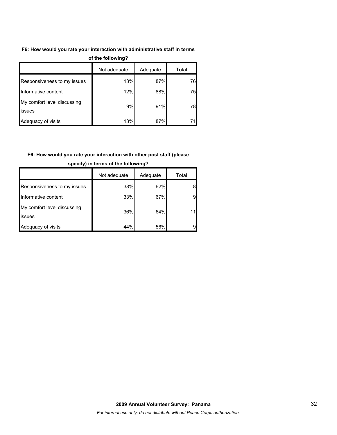# **F6: How would you rate your interaction with administrative staff in terms**

| $\sim$                                        |              |          |       |  |  |
|-----------------------------------------------|--------------|----------|-------|--|--|
|                                               | Not adequate | Adequate | Total |  |  |
| Responsiveness to my issues                   | 13%          | 87%      | 76    |  |  |
| Informative content                           | 12%          | 88%      | 75    |  |  |
| My comfort level discussing<br><b>lissues</b> | 9%           | 91%      | 78    |  |  |
| Adequacy of visits                            | 13%          | 87%      | 71    |  |  |

#### **of the following?**

# **F6: How would you rate your interaction with other post staff (please**

|                                       | Not adequate | Adequate | Total |
|---------------------------------------|--------------|----------|-------|
| Responsiveness to my issues           | 38%          | 62%      |       |
| Informative content                   | 33%          | 67%      | 9     |
| My comfort level discussing<br>issues | 36%          | 64%      |       |
| Adequacy of visits                    | 44%          | 56%      |       |

#### **specify) in terms of the following?**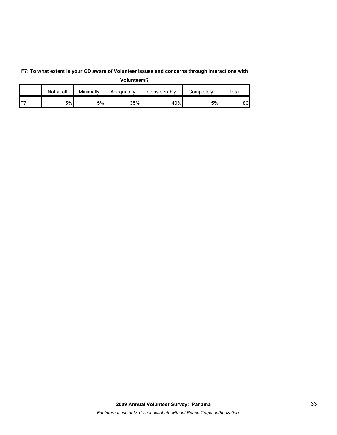|                 | Not at all | Minimally | Adequately | Considerably | Completely | $\tau$ otal |
|-----------------|------------|-----------|------------|--------------|------------|-------------|
| IF <sub>7</sub> | 5%         | 15%       | 35%        | 40%          | 5%         | 80.         |

**F7: To what extent is your CD aware of Volunteer issues and concerns through interactions with Volunteers?**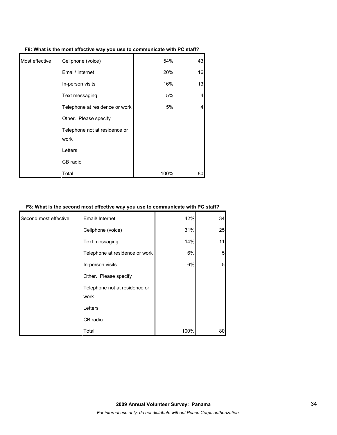| F8: What is the most effective way you use to communicate with PC staff? |  |  |
|--------------------------------------------------------------------------|--|--|
|                                                                          |  |  |

| Most effective | Cellphone (voice)                     | 54%  | 43 |
|----------------|---------------------------------------|------|----|
|                | Email/ Internet                       | 20%  | 16 |
|                | In-person visits                      | 16%  | 13 |
|                | Text messaging                        | 5%   | 4  |
|                | Telephone at residence or work        | 5%   | 4  |
|                | Other. Please specify                 |      |    |
|                | Telephone not at residence or<br>work |      |    |
|                |                                       |      |    |
|                | Letters                               |      |    |
|                | CB radio                              |      |    |
|                | Total                                 | 100% | 80 |

# **F8: What is the second most effective way you use to communicate with PC staff?**

| Second most effective | Email/ Internet                | 42%  | 34              |
|-----------------------|--------------------------------|------|-----------------|
|                       |                                |      |                 |
|                       | Cellphone (voice)              | 31%  | 25              |
|                       | Text messaging                 | 14%  | 11              |
|                       | Telephone at residence or work | 6%   | 5               |
|                       | In-person visits               | 6%   | $5\overline{)}$ |
|                       | Other. Please specify          |      |                 |
|                       | Telephone not at residence or  |      |                 |
|                       | work                           |      |                 |
|                       | Letters                        |      |                 |
|                       | CB radio                       |      |                 |
|                       | Total                          | 100% | 80              |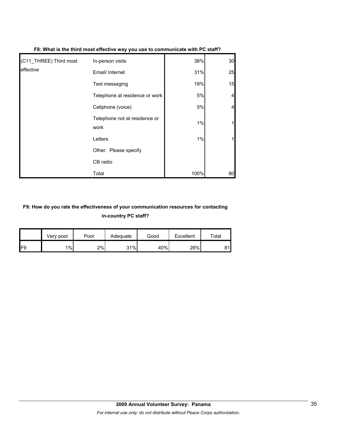| (C11_THREE) Third most | In-person visits                      | 38%  | 30 |
|------------------------|---------------------------------------|------|----|
| leffective             | Email/ Internet                       | 31%  | 25 |
|                        | Text messaging                        | 19%  | 15 |
|                        | Telephone at residence or work        | 5%   |    |
|                        | Cellphone (voice)                     | 5%   |    |
|                        | Telephone not at residence or<br>work | 1%   |    |
|                        | Letters                               | 1%   |    |
|                        | Other. Please specify                 |      |    |
|                        | CB radio                              |      |    |
|                        | Total                                 | 100% | 80 |

#### **F8: What is the third most effective way you use to communicate with PC staff?**

# **F9: How do you rate the effectiveness of your communication resources for contacting in-country PC staff?**

|                 | Very poor | Poor | Adequate | Good | Excellent | $\mathsf{Total}$ |
|-----------------|-----------|------|----------|------|-----------|------------------|
| IF <sub>9</sub> | $1\%$     | 2%   | 31%      | 40%  | 26%       | 81               |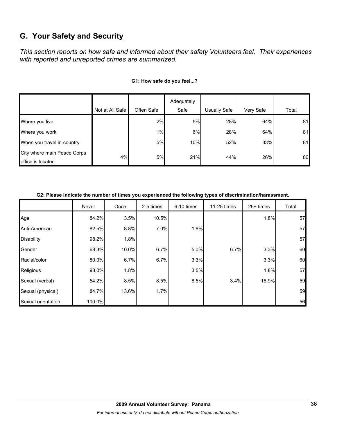# **G. Your Safety and Security**

*This section reports on how safe and informed about their safety Volunteers feel. Their experiences with reported and unreported crimes are summarized.* 

|                                                  |                 |            | Adequately |              |           |       |
|--------------------------------------------------|-----------------|------------|------------|--------------|-----------|-------|
|                                                  | Not at All Safe | Often Safe | Safe       | Usually Safe | Very Safe | Total |
| Where you live                                   |                 | 2%         | 5%         | 28%          | 64%       | 81    |
| Where you work                                   |                 | 1%         | 6%         | 28%          | 64%       | 81    |
| When you travel in-country                       |                 | 5%         | 10%        | 52%          | 33%       | 81    |
| City where main Peace Corps<br>office is located | 4%              | 5%         | 21%        | 44%          | 26%       | 80    |

### **G1: How safe do you feel...?**

| G2: Please indicate the number of times you experienced the following types of discrimination/harassment. |  |
|-----------------------------------------------------------------------------------------------------------|--|
|                                                                                                           |  |

|                    | Never  | Once  | 2-5 times | 6-10 times | 11-25 times | $26+$ times | Total |
|--------------------|--------|-------|-----------|------------|-------------|-------------|-------|
| Age                | 84.2%  | 3.5%  | 10.5%     |            |             | 1.8%        | 57    |
| Anti-American      | 82.5%  | 8.8%  | 7.0%      | 1.8%       |             |             | 57    |
| <b>Disability</b>  | 98.2%  | 1.8%  |           |            |             |             | 57    |
| Gender             | 68.3%  | 10.0% | 6.7%      | 5.0%       | 6.7%        | 3.3%        | 60    |
| Racial/color       | 80.0%  | 6.7%  | 6.7%      | 3.3%       |             | 3.3%        | 60    |
| Religious          | 93.0%  | 1.8%  |           | 3.5%       |             | 1.8%        | 57    |
| Sexual (verbal)    | 54.2%  | 8.5%  | 8.5%      | 8.5%       | 3.4%        | 16.9%       | 59    |
| Sexual (physical)  | 84.7%  | 13.6% | 1.7%      |            |             |             | 59    |
| Sexual orientation | 100.0% |       |           |            |             |             | 56    |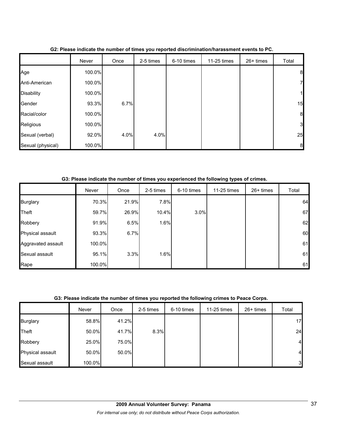|                   | Never  | Once | 2-5 times | 6-10 times | 11-25 times | 26+ times | Total            |
|-------------------|--------|------|-----------|------------|-------------|-----------|------------------|
| Age               | 100.0% |      |           |            |             |           | 8                |
| Anti-American     | 100.0% |      |           |            |             |           | $\overline{7}$   |
| <b>Disability</b> | 100.0% |      |           |            |             |           | $\mathbf{1}$     |
| Gender            | 93.3%  | 6.7% |           |            |             |           | 15               |
| Racial/color      | 100.0% |      |           |            |             |           | $\boldsymbol{8}$ |
| Religious         | 100.0% |      |           |            |             |           | 3                |
| Sexual (verbal)   | 92.0%  | 4.0% | 4.0%      |            |             |           | 25               |
| Sexual (physical) | 100.0% |      |           |            |             |           | 8                |

**G2: Please indicate the number of times you reported discrimination/harassment events to PC.**

**G3: Please indicate the number of times you experienced the following types of crimes.**

|                    | Never  | Once  | 2-5 times | 6-10 times | 11-25 times | 26+ times | Total |
|--------------------|--------|-------|-----------|------------|-------------|-----------|-------|
| <b>Burglary</b>    | 70.3%  | 21.9% | 7.8%      |            |             |           | 64    |
| Theft              | 59.7%  | 26.9% | 10.4%     | 3.0%       |             |           | 67    |
| Robbery            | 91.9%  | 6.5%  | 1.6%      |            |             |           | 62    |
| Physical assault   | 93.3%  | 6.7%  |           |            |             |           | 60    |
| Aggravated assault | 100.0% |       |           |            |             |           | 61    |
| Sexual assault     | 95.1%  | 3.3%  | 1.6%      |            |             |           | 61    |
| Rape               | 100.0% |       |           |            |             |           | 61    |

# **G3: Please indicate the number of times you reported the following crimes to Peace Corps.**

|                  | Never  | Once  | 2-5 times | 6-10 times | 11-25 times | 26+ times | Total          |
|------------------|--------|-------|-----------|------------|-------------|-----------|----------------|
| <b>Burglary</b>  | 58.8%  | 41.2% |           |            |             |           | 17             |
| <b>Theft</b>     | 50.0%  | 41.7% | 8.3%      |            |             |           | 24             |
| Robbery          | 25.0%  | 75.0% |           |            |             |           | $\overline{4}$ |
| Physical assault | 50.0%  | 50.0% |           |            |             |           | $\overline{a}$ |
| Sexual assault   | 100.0% |       |           |            |             |           | 3              |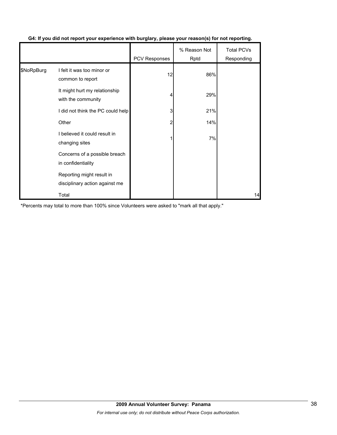|            |                                                             |               | % Reason Not | <b>Total PCVs</b> |
|------------|-------------------------------------------------------------|---------------|--------------|-------------------|
|            |                                                             | PCV Responses | Rptd         | Responding        |
| \$NoRpBurg | I felt it was too minor or<br>common to report              | 12            | 86%          |                   |
|            | It might hurt my relationship<br>with the community         | 4             | 29%          |                   |
|            | I did not think the PC could help                           | 3             | 21%          |                   |
|            | Other                                                       | 2             | 14%          |                   |
|            | I believed it could result in<br>changing sites             |               | 7%           |                   |
|            | Concerns of a possible breach<br>in confidentiality         |               |              |                   |
|            | Reporting might result in<br>disciplinary action against me |               |              |                   |
|            | Total                                                       |               |              | 14                |

# **G4: If you did not report your experience with burglary, please your reason(s) for not reporting.**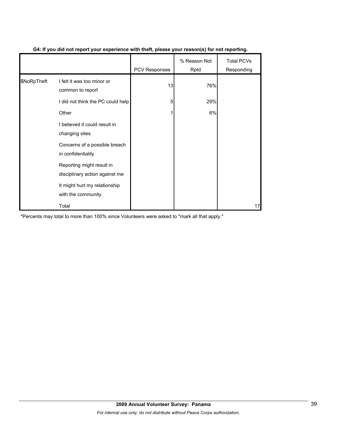|             |                                                             | <b>PCV Responses</b> | % Reason Not<br>Rptd | <b>Total PCVs</b><br>Responding |
|-------------|-------------------------------------------------------------|----------------------|----------------------|---------------------------------|
| \$NoRpTheft | I felt it was too minor or<br>common to report              | 13                   | 76%                  |                                 |
|             | I did not think the PC could help                           | 5                    | 29%                  |                                 |
|             | Other                                                       |                      | 6%                   |                                 |
|             | I believed it could result in<br>changing sites             |                      |                      |                                 |
|             | Concerns of a possible breach<br>in confidentiality         |                      |                      |                                 |
|             | Reporting might result in<br>disciplinary action against me |                      |                      |                                 |
|             | It might hurt my relationship<br>with the community         |                      |                      |                                 |
|             | Total                                                       |                      |                      | 17                              |

# **G4: If you did not report your experience with theft, please your reason(s) for not reporting.**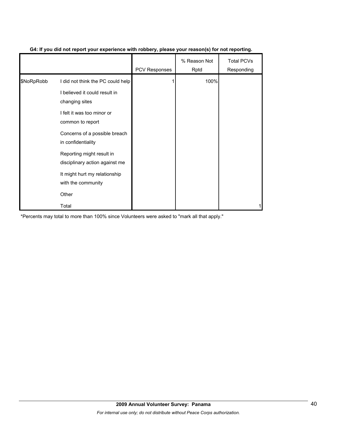|            |                                                             | <b>PCV Responses</b> | % Reason Not<br>Rptd | <b>Total PCVs</b><br>Responding |
|------------|-------------------------------------------------------------|----------------------|----------------------|---------------------------------|
| \$NoRpRobb | I did not think the PC could help                           |                      | 100%                 |                                 |
|            | I believed it could result in<br>changing sites             |                      |                      |                                 |
|            | I felt it was too minor or<br>common to report              |                      |                      |                                 |
|            | Concerns of a possible breach<br>in confidentiality         |                      |                      |                                 |
|            | Reporting might result in<br>disciplinary action against me |                      |                      |                                 |
|            | It might hurt my relationship<br>with the community         |                      |                      |                                 |
|            | Other                                                       |                      |                      |                                 |
|            | Total                                                       |                      |                      |                                 |

# **G4: If you did not report your experience with robbery, please your reason(s) for not reporting.**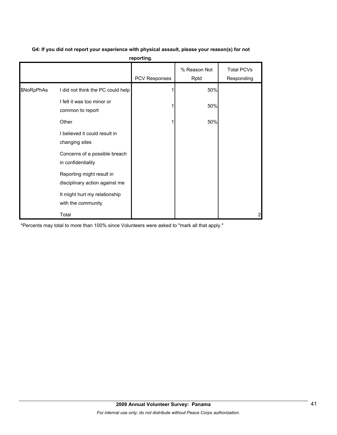|            |                                                             | PCV Responses | % Reason Not<br>Rptd | <b>Total PCVs</b><br>Responding |
|------------|-------------------------------------------------------------|---------------|----------------------|---------------------------------|
| \$NoRpPhAs | I did not think the PC could help                           |               | 50%                  |                                 |
|            | I felt it was too minor or<br>common to report              |               | 50%                  |                                 |
|            | Other                                                       |               | 50%                  |                                 |
|            | I believed it could result in<br>changing sites             |               |                      |                                 |
|            | Concerns of a possible breach<br>in confidentiality         |               |                      |                                 |
|            | Reporting might result in<br>disciplinary action against me |               |                      |                                 |
|            | It might hurt my relationship<br>with the community         |               |                      |                                 |
|            | Total                                                       |               |                      | 2                               |

# **G4: If you did not report your experience with physical assault, please your reason(s) for not reporting.**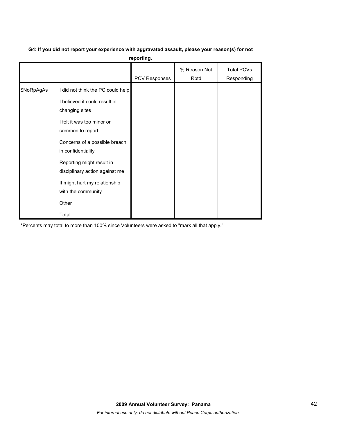# **G4: If you did not report your experience with aggravated assault, please your reason(s) for not**

**reporting.**

|            |                                                                                                                                                                         | PCV Responses | % Reason Not<br>Rptd | <b>Total PCVs</b><br>Responding |
|------------|-------------------------------------------------------------------------------------------------------------------------------------------------------------------------|---------------|----------------------|---------------------------------|
| \$NoRpAgAs | I did not think the PC could help<br>I believed it could result in<br>changing sites<br>I felt it was too minor or<br>common to report<br>Concerns of a possible breach |               |                      |                                 |
|            | in confidentiality<br>Reporting might result in<br>disciplinary action against me<br>It might hurt my relationship<br>with the community<br>Other<br>Total              |               |                      |                                 |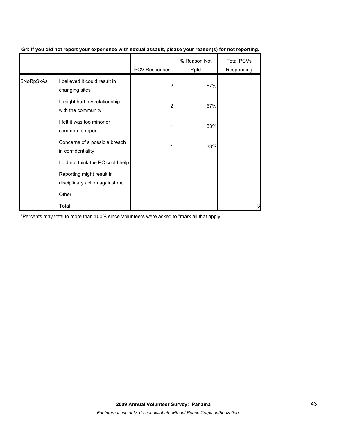|            |                                                             | PCV Responses | % Reason Not<br>Rptd | <b>Total PCVs</b><br>Responding |
|------------|-------------------------------------------------------------|---------------|----------------------|---------------------------------|
| \$NoRpSxAs | I believed it could result in<br>changing sites             |               | 67%                  |                                 |
|            | It might hurt my relationship<br>with the community         |               | 67%                  |                                 |
|            | I felt it was too minor or<br>common to report              |               | 33%                  |                                 |
|            | Concerns of a possible breach<br>in confidentiality         |               | 33%                  |                                 |
|            | I did not think the PC could help                           |               |                      |                                 |
|            | Reporting might result in<br>disciplinary action against me |               |                      |                                 |
|            | Other                                                       |               |                      |                                 |
|            | Total                                                       |               |                      | 3                               |

### **G4: If you did not report your experience with sexual assault, please your reason(s) for not reporting.**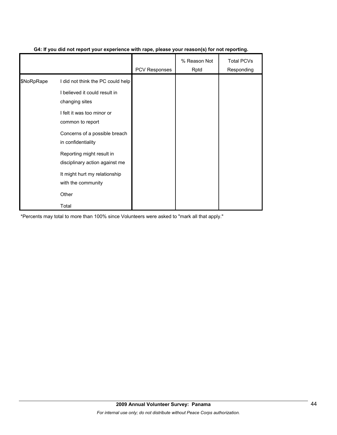|            |                                                             | <b>PCV Responses</b> | % Reason Not<br>Rptd | <b>Total PCVs</b><br>Responding |
|------------|-------------------------------------------------------------|----------------------|----------------------|---------------------------------|
| \$NoRpRape | I did not think the PC could help                           |                      |                      |                                 |
|            | I believed it could result in<br>changing sites             |                      |                      |                                 |
|            | I felt it was too minor or<br>common to report              |                      |                      |                                 |
|            | Concerns of a possible breach<br>in confidentiality         |                      |                      |                                 |
|            | Reporting might result in<br>disciplinary action against me |                      |                      |                                 |
|            | It might hurt my relationship<br>with the community         |                      |                      |                                 |
|            | Other                                                       |                      |                      |                                 |
|            | Total                                                       |                      |                      |                                 |

# **G4: If you did not report your experience with rape, please your reason(s) for not reporting.**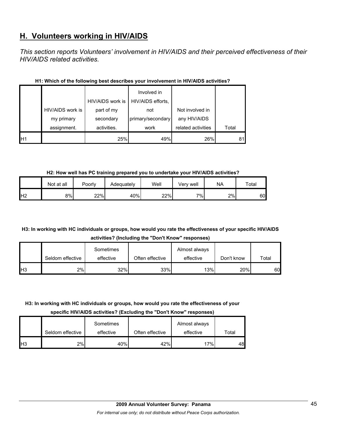# **H. Volunteers working in HIV/AIDS**

*This section reports Volunteers' involvement in HIV/AIDS and their perceived effectiveness of their HIV/AIDS related activities.* 

|                 |                  | HIV/AIDS work is | Involved in<br>HIV/AIDS efforts, |                    |       |
|-----------------|------------------|------------------|----------------------------------|--------------------|-------|
|                 | HIV/AIDS work is | part of my       | not                              | Not involved in    |       |
|                 | my primary       | secondary        | primary/secondary                | any HIV/AIDS       |       |
|                 | assignment.      | activities.      | work                             | related activities | Total |
| IH <sub>1</sub> |                  | 25%              | 49%                              | 26%                | 81    |

# **H1: Which of the following best describes your involvement in HIV/AIDS activities?**

**H2: How well has PC training prepared you to undertake your HIV/AIDS activities?**

|                | Not at all | Poorly | Adequately | Well | Verv well | NA | Total |
|----------------|------------|--------|------------|------|-----------|----|-------|
| H <sub>2</sub> | 8%         | 22%    | 40%        | 22%  | $7\%$     | 2% | 60    |

# **H3: In working with HC individuals or groups, how would you rate the effectiveness of your specific HIV/AIDS activities? (Including the "Don't Know" responses)**

|            |                  | Sometimes |                 | Almost always |            |       |
|------------|------------------|-----------|-----------------|---------------|------------|-------|
|            | Seldom effective | effective | Often effective | effective     | Don't know | Total |
| <b>IH3</b> | 2%l              | 32%       | 33%             | 13%           | 20%        | 60    |

# **H3: In working with HC individuals or groups, how would you rate the effectiveness of your**

**specific HIV/AIDS activities? (Excluding the "Don't Know" responses)**

|                 | Seldom effective | Sometimes<br>effective | Often effective | Almost always<br>effective | Total |
|-----------------|------------------|------------------------|-----------------|----------------------------|-------|
| IH <sub>3</sub> | 2%               | 40%                    | 42%             | 17%                        | 48    |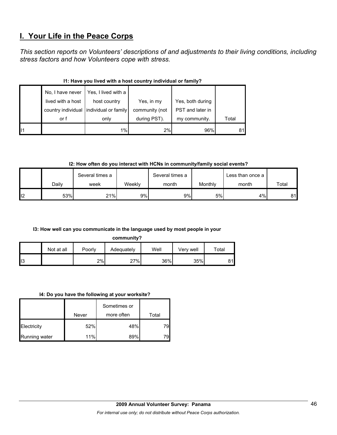# **I. Your Life in the Peace Corps**

*This section reports on Volunteers' descriptions of and adjustments to their living conditions, including stress factors and how Volunteers cope with stress.* 

|    | No, I have never  | Yes, I lived with a                     |                |                  |       |  |  |  |  |
|----|-------------------|-----------------------------------------|----------------|------------------|-------|--|--|--|--|
|    | lived with a host | host country                            | Yes, in my     | Yes, both during |       |  |  |  |  |
|    |                   | country individual individual or family | community (not | PST and later in |       |  |  |  |  |
|    | or f              | only                                    | during PST).   | my community.    | Total |  |  |  |  |
| 11 |                   | $1\%$                                   | 2%             | 96%              | 81    |  |  |  |  |

# **I1: Have you lived with a host country individual or family?**

**I2: How often do you interact with HCNs in community/family social events?**

|    |       | Several times a |        | Several times a |         | Less than once a |       |
|----|-------|-----------------|--------|-----------------|---------|------------------|-------|
|    | Dailv | week            | Weekly | month           | Monthly | month            | Total |
| I2 | 53%   | 21%             | 9%     | 9%              | 5%      | 4%               | 81    |

# **I3: How well can you communicate in the language used by most people in your**

**community?**

|     | Not at all | Poorly | Adequately | Well | Very well | $\tau$ otal |
|-----|------------|--------|------------|------|-----------|-------------|
| ll3 |            | 2%     | 27%        | 36%  | 35%       | 04          |

#### **I4: Do you have the following at your worksite?**

|               | Never | Sometimes or<br>more often | Total |
|---------------|-------|----------------------------|-------|
| Electricity   | 52%   | 48%                        | 79    |
| Running water | 11%   | 89%                        | 79    |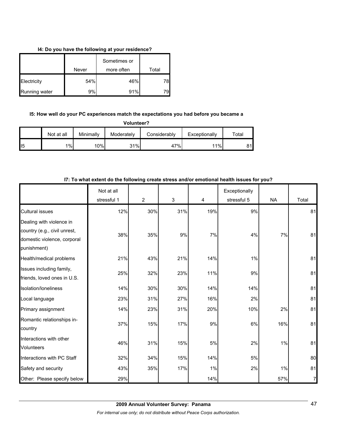### **I4: Do you have the following at your residence?**

|               |       | Sometimes or |       |
|---------------|-------|--------------|-------|
|               | Never | more often   | Total |
| Electricity   | 54%   | 46%          | 78    |
| Running water | 9%    | 91%          | 79    |

#### **I5: How well do your PC experiences match the expectations you had before you became a**

| Volunteer? |  |
|------------|--|
|------------|--|

|                 | Not at all | Minimally | Moderately | Considerably | Exceptionally | $\tau$ otal |
|-----------------|------------|-----------|------------|--------------|---------------|-------------|
| II <sub>5</sub> | 1%         | 10%       | 31%        | 47%          | 11%           | 81l         |

|                                                                                                        | Not at all  |                |     |     | Exceptionally |           |       |
|--------------------------------------------------------------------------------------------------------|-------------|----------------|-----|-----|---------------|-----------|-------|
|                                                                                                        | stressful 1 | $\overline{2}$ | 3   | 4   | stressful 5   | <b>NA</b> | Total |
| <b>Cultural issues</b>                                                                                 | 12%         | 30%            | 31% | 19% | 9%            |           | 81    |
| Dealing with violence in<br>country (e.g., civil unrest,<br>domestic violence, corporal<br>punishment) | 38%         | 35%            | 9%  | 7%  | 4%            | 7%        | 81    |
| Health/medical problems                                                                                | 21%         | 43%            | 21% | 14% | 1%            |           | 81    |
| Issues including family,<br>friends, loved ones in U.S.                                                | 25%         | 32%            | 23% | 11% | 9%            |           | 81    |
| Isolation/Ioneliness                                                                                   | 14%         | 30%            | 30% | 14% | 14%           |           | 81    |
| Local language                                                                                         | 23%         | 31%            | 27% | 16% | 2%            |           | 81    |
| Primary assignment                                                                                     | 14%         | 23%            | 31% | 20% | 10%           | 2%        | 81    |
| Romantic relationships in-<br>country                                                                  | 37%         | 15%            | 17% | 9%  | 6%            | 16%       | 81    |
| Interactions with other<br><b>Volunteers</b>                                                           | 46%         | 31%            | 15% | 5%  | 2%            | 1%        | 81    |
| Interactions with PC Staff                                                                             | 32%         | 34%            | 15% | 14% | 5%            |           | 80    |
| Safety and security                                                                                    | 43%         | 35%            | 17% | 1%  | 2%            | 1%        | 81    |
| Other: Please specify below                                                                            | 29%         |                |     | 14% |               | 57%       | 7     |

### **I7: To what extent do the following create stress and/or emotional health issues for you?**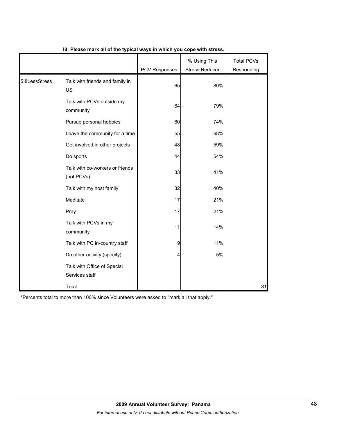|                |                                               | <b>PCV Responses</b> | % Using This<br><b>Stress Reducer</b> | <b>Total PCVs</b><br>Responding |
|----------------|-----------------------------------------------|----------------------|---------------------------------------|---------------------------------|
| \$I8LessStress | Talk with friends and family in<br><b>US</b>  | 65                   | 80%                                   |                                 |
|                | Talk with PCVs outside my<br>community        | 64                   | 79%                                   |                                 |
|                | Pursue personal hobbies                       | 60                   | 74%                                   |                                 |
|                | Leave the community for a time                | 55                   | 68%                                   |                                 |
|                | Get involved in other projects                | 48                   | 59%                                   |                                 |
|                | Do sports                                     | 44                   | 54%                                   |                                 |
|                | Talk with co-workers or friends<br>(not PCVs) | 33                   | 41%                                   |                                 |
|                | Talk with my host family                      | 32                   | 40%                                   |                                 |
|                | Meditate                                      | 17                   | 21%                                   |                                 |
|                | Pray                                          | 17                   | 21%                                   |                                 |
|                | Talk with PCVs in my<br>community             | 11                   | 14%                                   |                                 |
|                | Talk with PC in-country staff                 | 9                    | 11%                                   |                                 |
|                | Do other activity (specify)                   | 4                    | 5%                                    |                                 |
|                | Talk with Office of Special<br>Services staff |                      |                                       |                                 |
|                | Total                                         |                      |                                       | 81                              |

# **I8: Please mark all of the typical ways in which you cope with stress.**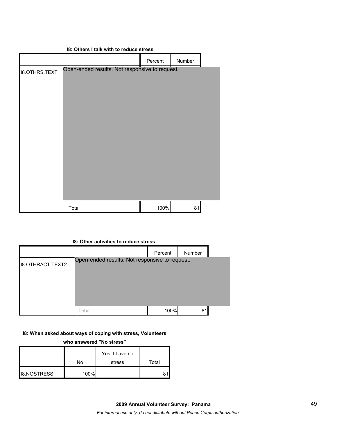|                      | 18: Others I talk with to reduce stress        |         |        |  |
|----------------------|------------------------------------------------|---------|--------|--|
|                      |                                                | Percent | Number |  |
| <b>18.OTHRS.TEXT</b> | Open-ended results. Not responsive to request. |         |        |  |
|                      | Total                                          | 100%    | 81     |  |

#### **I8: Other activities to reduce stress**

|                         |                                                | Percent | Number |  |
|-------------------------|------------------------------------------------|---------|--------|--|
| <b>I8.OTHRACT.TEXT2</b> | Open-ended results. Not responsive to request. |         |        |  |
|                         | Total                                          | 100%    | 81     |  |

# **I8: When asked about ways of coping with stress, Volunteers**

**who answered "No stress"** 

|                    |      | Yes, I have no |       |
|--------------------|------|----------------|-------|
|                    | No   | stress         | Total |
| <b>I8.NOSTRESS</b> | 100% |                |       |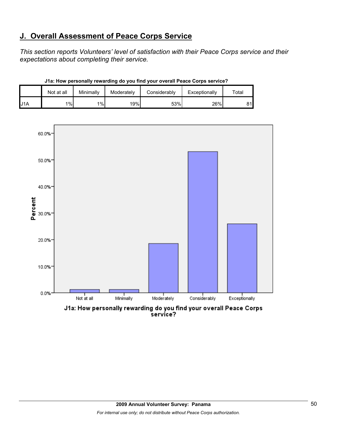# **J. Overall Assessment of Peace Corps Service**

*This section reports Volunteers' level of satisfaction with their Peace Corps service and their expectations about completing their service.* 

|     | Not at all | Minimally | Moderately | Considerably | Exceptionally | $\tau$ otal |
|-----|------------|-----------|------------|--------------|---------------|-------------|
| J1A | 1%         | 1%        | 19%        | 53%          | 26%           | 81l         |

**J1a: How personally rewarding do you find your overall Peace Corps service?**



J1a: How personally rewarding do you find your overall Peace Corps<br>service?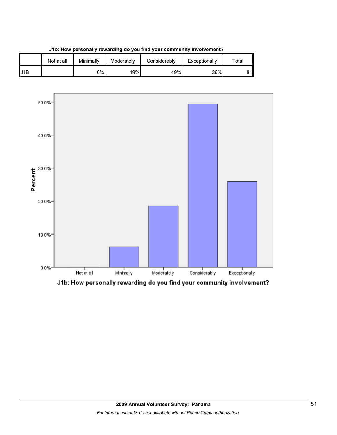

**J1b: How personally rewarding do you find your community involvement?**



J1b: How personally rewarding do you find your community involvement?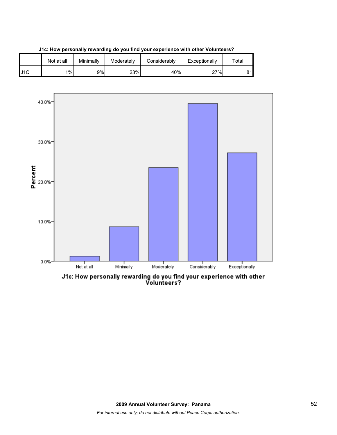

**J1c: How personally rewarding do you find your experience with other Volunteers?**



J1c: How personally rewarding do you find your experience with other<br>Volunteers?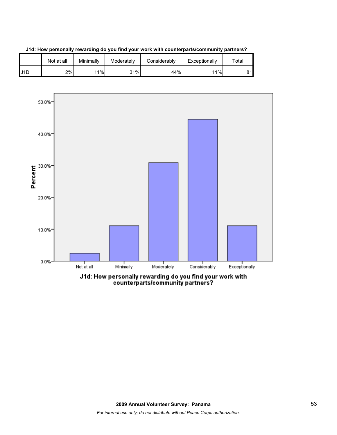





counterparts/community partners?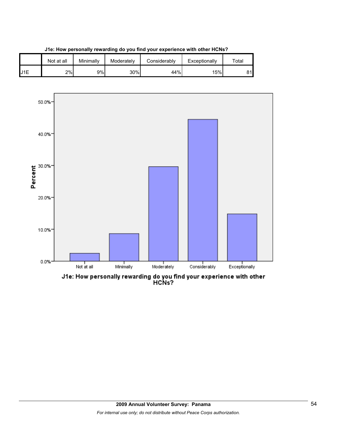





J1e: How personally rewarding do you find your experience with other<br>HCNs?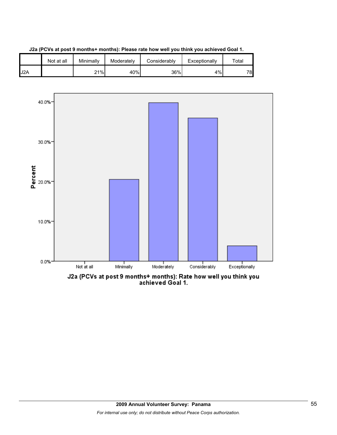

**J2a (PCVs at post 9 months+ months): Please rate how well you think you achieved Goal 1.**



J2a (PCVs at post 9 months+ months): Rate how well you think you<br>achieved Goal 1.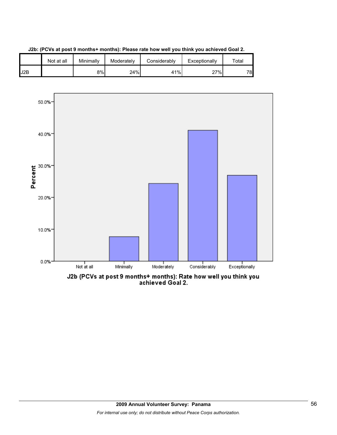



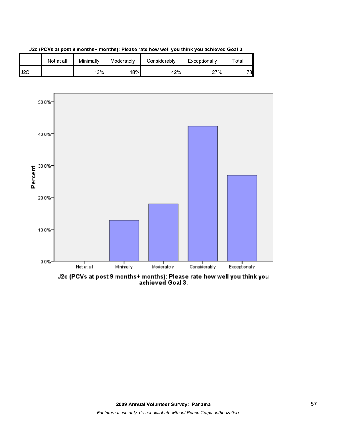





J2c (PCVs at post 9 months+ months): Please rate how well you think you<br>achieved Goal 3.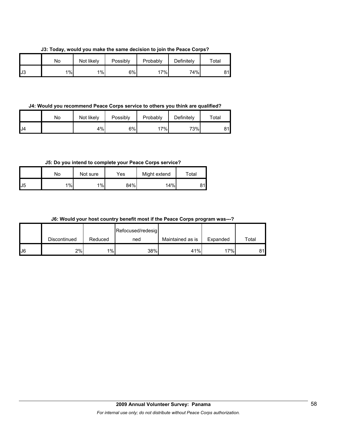**J3: Today, would you make the same decision to join the Peace Corps?**

|    | Nο | Not likely | Possibly | Probably | Definitely | $\tau$ otal |
|----|----|------------|----------|----------|------------|-------------|
| J3 | 1% | $1\%$      | 6%       | 17%      | 74%        | O 4         |

**J4: Would you recommend Peace Corps service to others you think are qualified?**

|     | No | Not likely | Possibly | Probably | Definitely | $\tau$ otal |
|-----|----|------------|----------|----------|------------|-------------|
| IJ4 |    | 4%         | 6%       | 17%      | 73%        | 81          |

**J5: Do you intend to complete your Peace Corps service?**

|                | No    | Not sure | Yes | Might extend | Total           |
|----------------|-------|----------|-----|--------------|-----------------|
| U <sub>5</sub> | $1\%$ | 1%       | 84% | 14%          | 31 <sub>h</sub> |

**J6: Would your host country benefit most if the Peace Corps program was---?**

|     |              |         | Refocused/redesig |                  |          |       |
|-----|--------------|---------|-------------------|------------------|----------|-------|
|     | Discontinued | Reduced | ned               | Maintained as is | Expanded | Total |
| IJ6 | 2%           | 1%      | 38%               | 41%              | 17%      | 81    |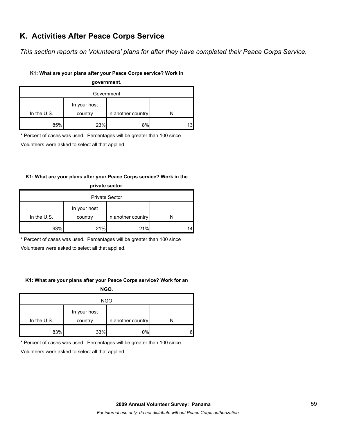# **K. Activities After Peace Corps Service**

*This section reports on Volunteers' plans for after they have completed their Peace Corps Service.* 

### **K1: What are your plans after your Peace Corps service? Work in**

| government. |              |                    |     |  |  |
|-------------|--------------|--------------------|-----|--|--|
| Government  |              |                    |     |  |  |
|             | In your host |                    |     |  |  |
| In the U.S. | country      | In another country |     |  |  |
| 85%         | 23%          | 8%                 | 131 |  |  |

\* Percent of cases was used. Percentages will be greater than 100 since

Volunteers were asked to select all that applied.

# **K1: What are your plans after your Peace Corps service? Work in the**

| private sector.       |              |                    |    |  |
|-----------------------|--------------|--------------------|----|--|
| <b>Private Sector</b> |              |                    |    |  |
|                       | In your host |                    |    |  |
| In the $U.S.$         | country      | In another country |    |  |
| 93%                   | 21%          | 21%                | 14 |  |

\* Percent of cases was used. Percentages will be greater than 100 since

Volunteers were asked to select all that applied.

# **K1: What are your plans after your Peace Corps service? Work for an**

**NGO.**

| <b>NGO</b>  |              |                    |   |  |
|-------------|--------------|--------------------|---|--|
|             | In your host |                    |   |  |
| In the U.S. | country      | In another country |   |  |
| 83%         | 33%          | 0%                 | 6 |  |

\* Percent of cases was used. Percentages will be greater than 100 since

Volunteers were asked to select all that applied.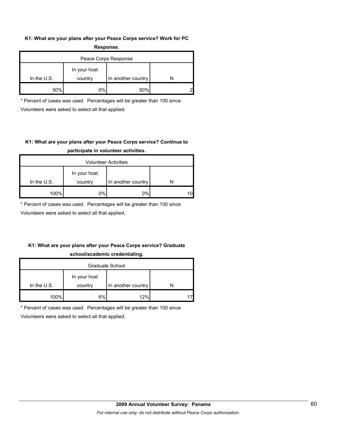#### **K1: What are your plans after your Peace Corps service? Work for PC Response.**

| .                    |                         |                    |  |  |
|----------------------|-------------------------|--------------------|--|--|
| Peace Corps Response |                         |                    |  |  |
| In the $U.S.$        | In your host<br>country | In another country |  |  |
| 50%                  | 0%                      | 50%                |  |  |

\* Percent of cases was used. Percentages will be greater than 100 since Volunteers were asked to select all that applied.

# **K1: What are your plans after your Peace Corps service? Continue to participate in volunteer activities.**

| <b>Volunteer Activities</b> |              |                    |    |  |
|-----------------------------|--------------|--------------------|----|--|
|                             | In your host |                    |    |  |
| In the $U.S.$               | country      | In another country |    |  |
| 100%                        | 0%           | 0%                 | 10 |  |

\* Percent of cases was used. Percentages will be greater than 100 since

Volunteers were asked to select all that applied.

# **K1: What are your plans after your Peace Corps service? Graduate school/academic credentialing.**

| Graduate School |              |                    |  |  |
|-----------------|--------------|--------------------|--|--|
|                 | In your host |                    |  |  |
| In the $U.S.$   | country      | In another country |  |  |
| 100%            | 6%           | 12%                |  |  |

\* Percent of cases was used. Percentages will be greater than 100 since

Volunteers were asked to select all that applied.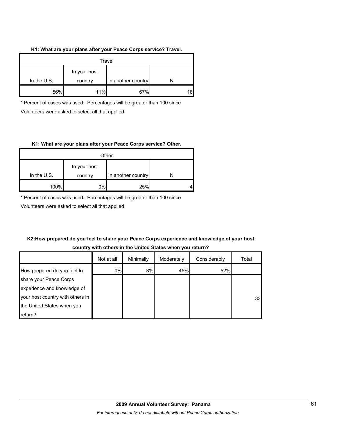#### **K1: What are your plans after your Peace Corps service? Travel.**

| Travel                                                       |     |     |  |  |
|--------------------------------------------------------------|-----|-----|--|--|
| In your host<br>In the U.S.<br>In another country<br>country |     |     |  |  |
| 56%                                                          | 11% | 67% |  |  |

\* Percent of cases was used. Percentages will be greater than 100 since Volunteers were asked to select all that applied.

#### **K1: What are your plans after your Peace Corps service? Other.**

| Other       |              |                    |  |
|-------------|--------------|--------------------|--|
|             | In your host |                    |  |
| In the U.S. | country      | In another country |  |
| 100%        | 0%           | 25%                |  |

\* Percent of cases was used. Percentages will be greater than 100 since

Volunteers were asked to select all that applied.

# **K2:How prepared do you feel to share your Peace Corps experience and knowledge of your host country with others in the United States when you return?**

|                                  | Not at all | Minimally | Moderately | Considerably | Total |
|----------------------------------|------------|-----------|------------|--------------|-------|
| How prepared do you feel to      | 0%         | 3%        | 45%        | 52%          |       |
| share your Peace Corps           |            |           |            |              |       |
| experience and knowledge of      |            |           |            |              |       |
| your host country with others in |            |           |            |              | 33    |
| the United States when you       |            |           |            |              |       |
| return?                          |            |           |            |              |       |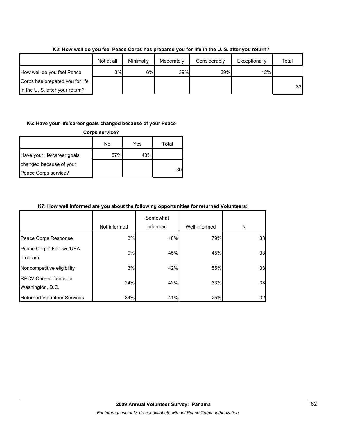|                                 | Not at all | Minimally | Moderately | Considerably | Exceptionally | Total |
|---------------------------------|------------|-----------|------------|--------------|---------------|-------|
| How well do you feel Peace      | 3%         | 6%        | 39%        | 39%          | 12%           |       |
| Corps has prepared you for life |            |           |            |              |               |       |
| in the U. S. after your return? |            |           |            |              |               | 33    |

**K3: How well do you feel Peace Corps has prepared you for life in the U. S. after you return?**

#### **K6: Have your life/career goals changed because of your Peace**

| <b>Corps service?</b>       |     |     |       |  |
|-----------------------------|-----|-----|-------|--|
|                             | No  | Yes | Total |  |
| Have your life/career goals | 57% | 43% |       |  |
| changed because of your     |     |     |       |  |
| Peace Corps service?        |     |     | 30    |  |

### **K7: How well informed are you about the following opportunities for returned Volunteers:**

|                                                  | Not informed | Somewhat<br>informed | Well informed | N  |
|--------------------------------------------------|--------------|----------------------|---------------|----|
| Peace Corps Response                             | 3%           | 18%                  | 79%           | 33 |
| Peace Corps' Fellows/USA<br>program              | 9%           | 45%                  | 45%           | 33 |
| Noncompetitive eligibility                       | 3%           | 42%                  | 55%           | 33 |
| <b>RPCV Career Center in</b><br>Washington, D.C. | 24%          | 42%                  | 33%           | 33 |
| <b>Returned Volunteer Services</b>               | 34%          | 41%                  | 25%           | 32 |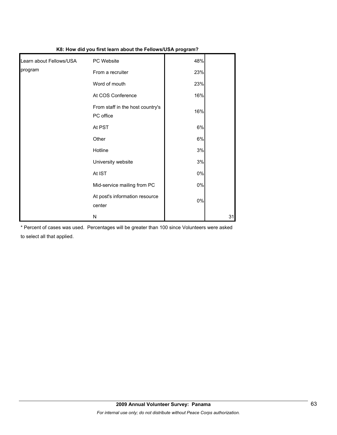| K8: How did you first learn about the Fellows/USA program? |                                               |       |    |  |
|------------------------------------------------------------|-----------------------------------------------|-------|----|--|
| Learn about Fellows/USA                                    | PC Website                                    | 48%   |    |  |
| program                                                    | From a recruiter                              | 23%   |    |  |
|                                                            | Word of mouth                                 | 23%   |    |  |
|                                                            | At COS Conference                             | 16%   |    |  |
|                                                            | From staff in the host country's<br>PC office | 16%   |    |  |
|                                                            | At PST                                        | 6%    |    |  |
|                                                            | Other                                         | 6%    |    |  |
|                                                            | Hotline                                       | 3%    |    |  |
|                                                            | University website                            | 3%    |    |  |
|                                                            | At IST                                        | 0%    |    |  |
|                                                            | Mid-service mailing from PC                   | $0\%$ |    |  |
|                                                            | At post's information resource<br>center      | $0\%$ |    |  |
|                                                            | N                                             |       | 31 |  |

\* Percent of cases was used. Percentages will be greater than 100 since Volunteers were asked to select all that applied.

# **2009 Annual Volunteer Survey: Panama**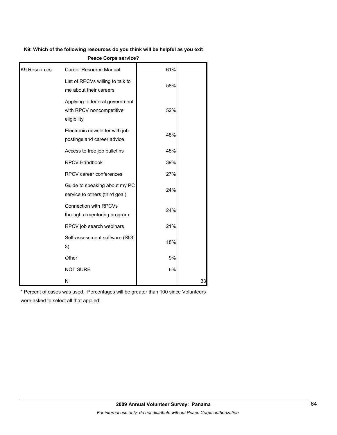#### **K9: Which of the following resources do you think will be helpful as you exit**

|              | <b>Feace Gorps Service?</b>                                               |     |    |
|--------------|---------------------------------------------------------------------------|-----|----|
| K9 Resources | <b>Career Resource Manual</b>                                             | 61% |    |
|              | List of RPCVs willing to talk to<br>me about their careers                | 58% |    |
|              | Applying to federal government<br>with RPCV noncompetitive<br>eligibility | 52% |    |
|              | Electronic newsletter with job<br>postings and career advice              | 48% |    |
|              | Access to free job bulletins                                              | 45% |    |
|              | RPCV Handbook                                                             | 39% |    |
|              | RPCV career conferences                                                   | 27% |    |
|              | Guide to speaking about my PC<br>service to others (third goal)           | 24% |    |
|              | Connection with RPCVs<br>through a mentoring program                      | 24% |    |
|              | RPCV job search webinars                                                  | 21% |    |
|              | Self-assessment software (SIGI<br>3)                                      | 18% |    |
|              | Other                                                                     | 9%  |    |
|              | <b>NOT SURE</b>                                                           | 6%  |    |
|              | N                                                                         |     | 33 |

**Peace Corps service?**

\* Percent of cases was used. Percentages will be greater than 100 since Volunteers were asked to select all that applied.